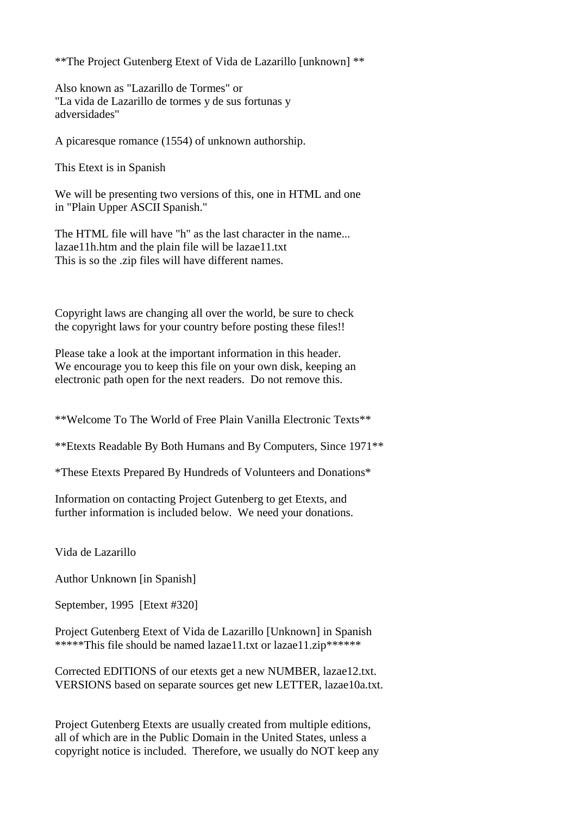\*\*The Project Gutenberg Etext of Vida de Lazarillo [unknown] \*\*

Also known as "Lazarillo de Tormes" or "La vida de Lazarillo de tormes y de sus fortunas y adversidades"

A picaresque romance (1554) of unknown authorship.

This Etext is in Spanish

We will be presenting two versions of this, one in HTML and one in "Plain Upper ASCII Spanish."

The HTML file will have "h" as the last character in the name... lazae11h.htm and the plain file will be lazae11.txt This is so the .zip files will have different names.

Copyright laws are changing all over the world, be sure to check the copyright laws for your country before posting these files!!

Please take a look at the important information in this header. We encourage you to keep this file on your own disk, keeping an electronic path open for the next readers. Do not remove this.

\*\*Welcome To The World of Free Plain Vanilla Electronic Texts\*\*

\*\*Etexts Readable By Both Humans and By Computers, Since 1971\*\*

\*These Etexts Prepared By Hundreds of Volunteers and Donations\*

Information on contacting Project Gutenberg to get Etexts, and further information is included below. We need your donations.

Vida de Lazarillo

Author Unknown [in Spanish]

September, 1995 [Etext #320]

Project Gutenberg Etext of Vida de Lazarillo [Unknown] in Spanish \*\*\*\*\*This file should be named lazae11.txt or lazae11.zip\*\*\*\*\*\*

Corrected EDITIONS of our etexts get a new NUMBER, lazae12.txt. VERSIONS based on separate sources get new LETTER, lazae10a.txt.

Project Gutenberg Etexts are usually created from multiple editions, all of which are in the Public Domain in the United States, unless a copyright notice is included. Therefore, we usually do NOT keep any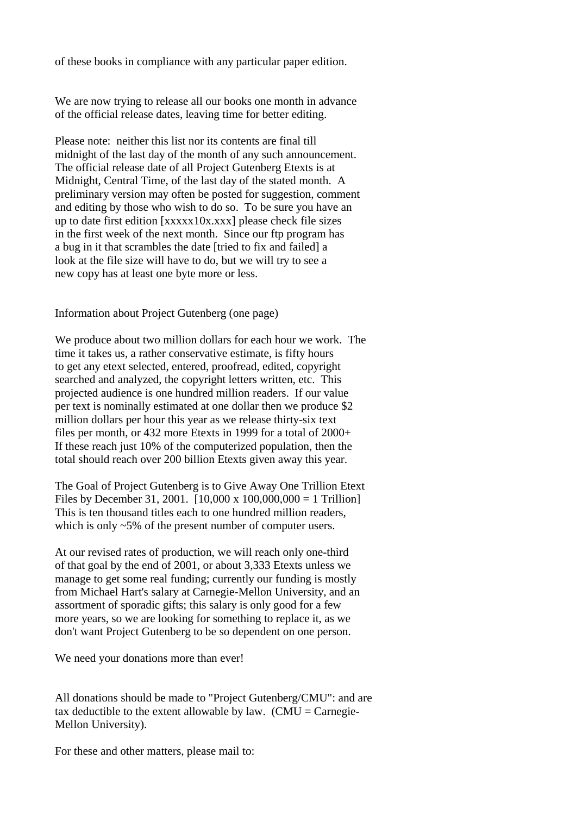of these books in compliance with any particular paper edition.

We are now trying to release all our books one month in advance of the official release dates, leaving time for better editing.

Please note: neither this list nor its contents are final till midnight of the last day of the month of any such announcement. The official release date of all Project Gutenberg Etexts is at Midnight, Central Time, of the last day of the stated month. A preliminary version may often be posted for suggestion, comment and editing by those who wish to do so. To be sure you have an up to date first edition [xxxxx10x.xxx] please check file sizes in the first week of the next month. Since our ftp program has a bug in it that scrambles the date [tried to fix and failed] a look at the file size will have to do, but we will try to see a new copy has at least one byte more or less.

Information about Project Gutenberg (one page)

We produce about two million dollars for each hour we work. The time it takes us, a rather conservative estimate, is fifty hours to get any etext selected, entered, proofread, edited, copyright searched and analyzed, the copyright letters written, etc. This projected audience is one hundred million readers. If our value per text is nominally estimated at one dollar then we produce \$2 million dollars per hour this year as we release thirty-six text files per month, or 432 more Etexts in 1999 for a total of 2000+ If these reach just 10% of the computerized population, then the total should reach over 200 billion Etexts given away this year.

The Goal of Project Gutenberg is to Give Away One Trillion Etext Files by December 31, 2001.  $[10,000 \times 100,000,000 = 1$  Trillion] This is ten thousand titles each to one hundred million readers, which is only  $\sim$  5% of the present number of computer users.

At our revised rates of production, we will reach only one-third of that goal by the end of 2001, or about 3,333 Etexts unless we manage to get some real funding; currently our funding is mostly from Michael Hart's salary at Carnegie-Mellon University, and an assortment of sporadic gifts; this salary is only good for a few more years, so we are looking for something to replace it, as we don't want Project Gutenberg to be so dependent on one person.

We need your donations more than ever!

All donations should be made to "Project Gutenberg/CMU": and are tax deductible to the extent allowable by law.  $(CMU = Carnegie-$ Mellon University).

For these and other matters, please mail to: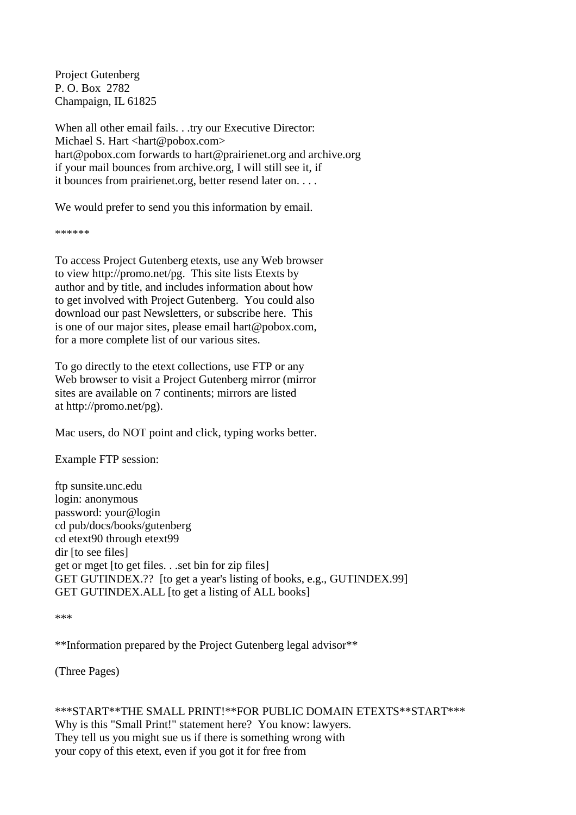Project Gutenberg P. O. Box 2782 Champaign, IL 61825

When all other email fails. . .try our Executive Director: Michael S. Hart <hart@pobox.com> hart@pobox.com forwards to hart@prairienet.org and archive.org if your mail bounces from archive.org, I will still see it, if it bounces from prairienet.org, better resend later on. . . .

We would prefer to send you this information by email.

\*\*\*\*\*\*

To access Project Gutenberg etexts, use any Web browser to view http://promo.net/pg. This site lists Etexts by author and by title, and includes information about how to get involved with Project Gutenberg. You could also download our past Newsletters, or subscribe here. This is one of our major sites, please email hart@pobox.com, for a more complete list of our various sites.

To go directly to the etext collections, use FTP or any Web browser to visit a Project Gutenberg mirror (mirror) sites are available on 7 continents; mirrors are listed at http://promo.net/pg).

Mac users, do NOT point and click, typing works better.

Example FTP session:

ftp sunsite.unc.edu login: anonymous password: your@login cd pub/docs/books/gutenberg cd etext90 through etext99 dir [to see files] get or mget [to get files. . .set bin for zip files] GET GUTINDEX.?? [to get a year's listing of books, e.g., GUTINDEX.99] GET GUTINDEX.ALL [to get a listing of ALL books]

\*\*\*

\*\*Information prepared by the Project Gutenberg legal advisor\*\*

(Three Pages)

\*\*\*START\*\*THE SMALL PRINT!\*\*FOR PUBLIC DOMAIN ETEXTS\*\*START\*\*\* Why is this "Small Print!" statement here? You know: lawyers. They tell us you might sue us if there is something wrong with your copy of this etext, even if you got it for free from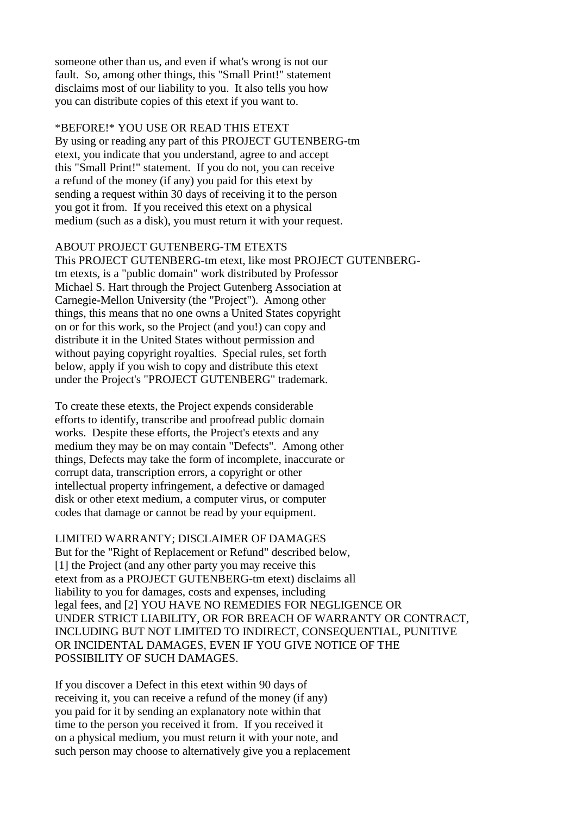someone other than us, and even if what's wrong is not our fault. So, among other things, this "Small Print!" statement disclaims most of our liability to you. It also tells you how you can distribute copies of this etext if you want to.

#### \*BEFORE!\* YOU USE OR READ THIS ETEXT

By using or reading any part of this PROJECT GUTENBERG-tm etext, you indicate that you understand, agree to and accept this "Small Print!" statement. If you do not, you can receive a refund of the money (if any) you paid for this etext by sending a request within 30 days of receiving it to the person you got it from. If you received this etext on a physical medium (such as a disk), you must return it with your request.

#### ABOUT PROJECT GUTENBERG-TM ETEXTS

This PROJECT GUTENBERG-tm etext, like most PROJECT GUTENBERGtm etexts, is a "public domain" work distributed by Professor Michael S. Hart through the Project Gutenberg Association at Carnegie-Mellon University (the "Project"). Among other things, this means that no one owns a United States copyright on or for this work, so the Project (and you!) can copy and distribute it in the United States without permission and without paying copyright royalties. Special rules, set forth below, apply if you wish to copy and distribute this etext under the Project's "PROJECT GUTENBERG" trademark.

To create these etexts, the Project expends considerable efforts to identify, transcribe and proofread public domain works. Despite these efforts, the Project's etexts and any medium they may be on may contain "Defects". Among other things, Defects may take the form of incomplete, inaccurate or corrupt data, transcription errors, a copyright or other intellectual property infringement, a defective or damaged disk or other etext medium, a computer virus, or computer codes that damage or cannot be read by your equipment.

## LIMITED WARRANTY; DISCLAIMER OF DAMAGES

But for the "Right of Replacement or Refund" described below, [1] the Project (and any other party you may receive this etext from as a PROJECT GUTENBERG-tm etext) disclaims all liability to you for damages, costs and expenses, including legal fees, and [2] YOU HAVE NO REMEDIES FOR NEGLIGENCE OR UNDER STRICT LIABILITY, OR FOR BREACH OF WARRANTY OR CONTRACT, INCLUDING BUT NOT LIMITED TO INDIRECT, CONSEQUENTIAL, PUNITIVE OR INCIDENTAL DAMAGES, EVEN IF YOU GIVE NOTICE OF THE POSSIBILITY OF SUCH DAMAGES.

If you discover a Defect in this etext within 90 days of receiving it, you can receive a refund of the money (if any) you paid for it by sending an explanatory note within that time to the person you received it from. If you received it on a physical medium, you must return it with your note, and such person may choose to alternatively give you a replacement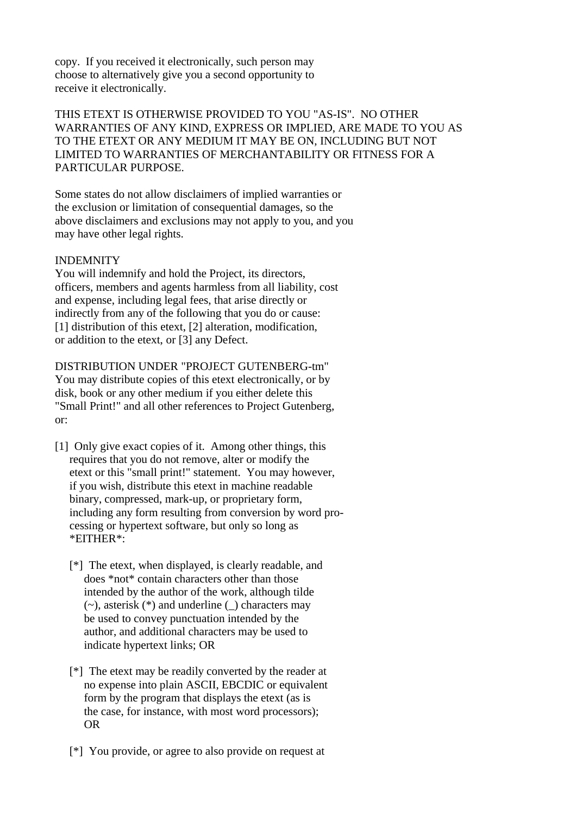copy. If you received it electronically, such person may choose to alternatively give you a second opportunity to receive it electronically.

THIS ETEXT IS OTHERWISE PROVIDED TO YOU "AS-IS". NO OTHER WARRANTIES OF ANY KIND, EXPRESS OR IMPLIED, ARE MADE TO YOU AS TO THE ETEXT OR ANY MEDIUM IT MAY BE ON, INCLUDING BUT NOT LIMITED TO WARRANTIES OF MERCHANTABILITY OR FITNESS FOR A PARTICULAR PURPOSE.

Some states do not allow disclaimers of implied warranties or the exclusion or limitation of consequential damages, so the above disclaimers and exclusions may not apply to you, and you may have other legal rights.

## INDEMNITY

You will indemnify and hold the Project, its directors, officers, members and agents harmless from all liability, cost and expense, including legal fees, that arise directly or indirectly from any of the following that you do or cause: [1] distribution of this etext, [2] alteration, modification, or addition to the etext, or [3] any Defect.

## DISTRIBUTION UNDER "PROJECT GUTENBERG-tm"

You may distribute copies of this etext electronically, or by disk, book or any other medium if you either delete this "Small Print!" and all other references to Project Gutenberg, or:

- [1] Only give exact copies of it. Among other things, this requires that you do not remove, alter or modify the etext or this "small print!" statement. You may however, if you wish, distribute this etext in machine readable binary, compressed, mark-up, or proprietary form, including any form resulting from conversion by word pro cessing or hypertext software, but only so long as \*EITHER\*:
	- [\*] The etext, when displayed, is clearly readable, and does \*not\* contain characters other than those intended by the author of the work, although tilde  $(\sim)$ , asterisk  $(*)$  and underline () characters may be used to convey punctuation intended by the author, and additional characters may be used to indicate hypertext links; OR
	- [\*] The etext may be readily converted by the reader at no expense into plain ASCII, EBCDIC or equivalent form by the program that displays the etext (as is the case, for instance, with most word processors); OR
	- [\*] You provide, or agree to also provide on request at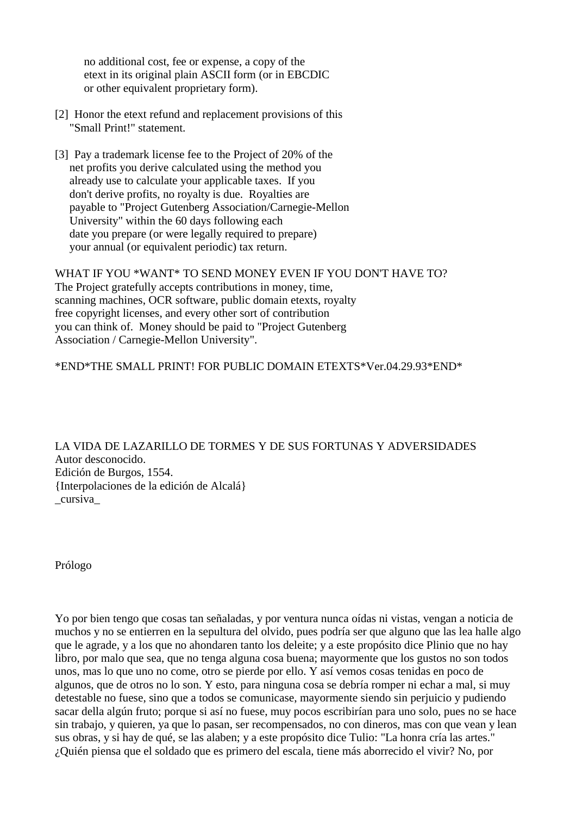no additional cost, fee or expense, a copy of the etext in its original plain ASCII form (or in EBCDIC or other equivalent proprietary form).

- [2] Honor the etext refund and replacement provisions of this "Small Print!" statement.
- [3] Pay a trademark license fee to the Project of 20% of the net profits you derive calculated using the method you already use to calculate your applicable taxes. If you don't derive profits, no royalty is due. Royalties are payable to "Project Gutenberg Association/Carnegie-Mellon University" within the 60 days following each date you prepare (or were legally required to prepare) your annual (or equivalent periodic) tax return.

WHAT IF YOU \*WANT\* TO SEND MONEY EVEN IF YOU DON'T HAVE TO? The Project gratefully accepts contributions in money, time, scanning machines, OCR software, public domain etexts, royalty free copyright licenses, and every other sort of contribution you can think of. Money should be paid to "Project Gutenberg Association / Carnegie-Mellon University".

\*END\*THE SMALL PRINT! FOR PUBLIC DOMAIN ETEXTS\*Ver.04.29.93\*END\*

LA VIDA DE LAZARILLO DE TORMES Y DE SUS FORTUNAS Y ADVERSIDADES Autor desconocido. Edición de Burgos, 1554. {Interpolaciones de la edición de Alcalá} \_cursiva\_

Prólogo

Yo por bien tengo que cosas tan señaladas, y por ventura nunca oídas ni vistas, vengan a noticia de muchos y no se entierren en la sepultura del olvido, pues podría ser que alguno que las lea halle algo que le agrade, y a los que no ahondaren tanto los deleite; y a este propósito dice Plinio que no hay libro, por malo que sea, que no tenga alguna cosa buena; mayormente que los gustos no son todos unos, mas lo que uno no come, otro se pierde por ello. Y así vemos cosas tenidas en poco de algunos, que de otros no lo son. Y esto, para ninguna cosa se debría romper ni echar a mal, si muy detestable no fuese, sino que a todos se comunicase, mayormente siendo sin perjuicio y pudiendo sacar della algún fruto; porque si así no fuese, muy pocos escribirían para uno solo, pues no se hace sin trabajo, y quieren, ya que lo pasan, ser recompensados, no con dineros, mas con que vean y lean sus obras, y si hay de qué, se las alaben; y a este propósito dice Tulio: "La honra cría las artes." ¿Quién piensa que el soldado que es primero del escala, tiene más aborrecido el vivir? No, por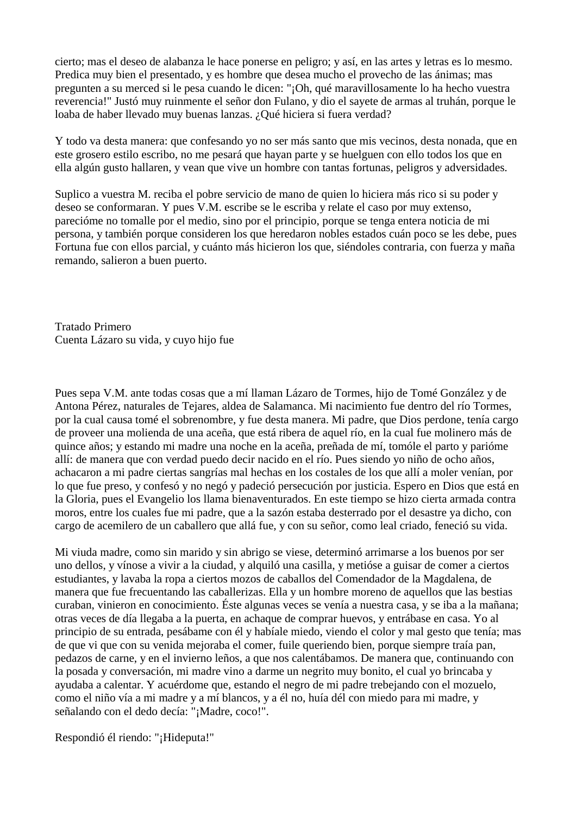cierto; mas el deseo de alabanza le hace ponerse en peligro; y así, en las artes y letras es lo mesmo. Predica muy bien el presentado, y es hombre que desea mucho el provecho de las ánimas; mas pregunten a su merced si le pesa cuando le dicen: "¡Oh, qué maravillosamente lo ha hecho vuestra reverencia!" Justó muy ruinmente el señor don Fulano, y dio el sayete de armas al truhán, porque le loaba de haber llevado muy buenas lanzas. ¿Qué hiciera si fuera verdad?

Y todo va desta manera: que confesando yo no ser más santo que mis vecinos, desta nonada, que en este grosero estilo escribo, no me pesará que hayan parte y se huelguen con ello todos los que en ella algún gusto hallaren, y vean que vive un hombre con tantas fortunas, peligros y adversidades.

Suplico a vuestra M. reciba el pobre servicio de mano de quien lo hiciera más rico si su poder y deseo se conformaran. Y pues V.M. escribe se le escriba y relate el caso por muy extenso, parecióme no tomalle por el medio, sino por el principio, porque se tenga entera noticia de mi persona, y también porque consideren los que heredaron nobles estados cuán poco se les debe, pues Fortuna fue con ellos parcial, y cuánto más hicieron los que, siéndoles contraria, con fuerza y maña remando, salieron a buen puerto.

Tratado Primero Cuenta Lázaro su vida, y cuyo hijo fue

Pues sepa V.M. ante todas cosas que a mí llaman Lázaro de Tormes, hijo de Tomé González y de Antona Pérez, naturales de Tejares, aldea de Salamanca. Mi nacimiento fue dentro del río Tormes, por la cual causa tomé el sobrenombre, y fue desta manera. Mi padre, que Dios perdone, tenía cargo de proveer una molienda de una aceña, que está ribera de aquel río, en la cual fue molinero más de quince años; y estando mi madre una noche en la aceña, preñada de mí, tomóle el parto y parióme allí: de manera que con verdad puedo decir nacido en el río. Pues siendo yo niño de ocho años, achacaron a mi padre ciertas sangrías mal hechas en los costales de los que allí a moler venían, por lo que fue preso, y confesó y no negó y padeció persecución por justicia. Espero en Dios que está en la Gloria, pues el Evangelio los llama bienaventurados. En este tiempo se hizo cierta armada contra moros, entre los cuales fue mi padre, que a la sazón estaba desterrado por el desastre ya dicho, con cargo de acemilero de un caballero que allá fue, y con su señor, como leal criado, feneció su vida.

Mi viuda madre, como sin marido y sin abrigo se viese, determinó arrimarse a los buenos por ser uno dellos, y vínose a vivir a la ciudad, y alquiló una casilla, y metióse a guisar de comer a ciertos estudiantes, y lavaba la ropa a ciertos mozos de caballos del Comendador de la Magdalena, de manera que fue frecuentando las caballerizas. Ella y un hombre moreno de aquellos que las bestias curaban, vinieron en conocimiento. Éste algunas veces se venía a nuestra casa, y se iba a la mañana; otras veces de día llegaba a la puerta, en achaque de comprar huevos, y entrábase en casa. Yo al principio de su entrada, pesábame con él y habíale miedo, viendo el color y mal gesto que tenía; mas de que vi que con su venida mejoraba el comer, fuile queriendo bien, porque siempre traía pan, pedazos de carne, y en el invierno leños, a que nos calentábamos. De manera que, continuando con la posada y conversación, mi madre vino a darme un negrito muy bonito, el cual yo brincaba y ayudaba a calentar. Y acuérdome que, estando el negro de mi padre trebejando con el mozuelo, como el niño vía a mi madre y a mí blancos, y a él no, huía dél con miedo para mi madre, y señalando con el dedo decía: "¡Madre, coco!".

Respondió él riendo: "¡Hideputa!"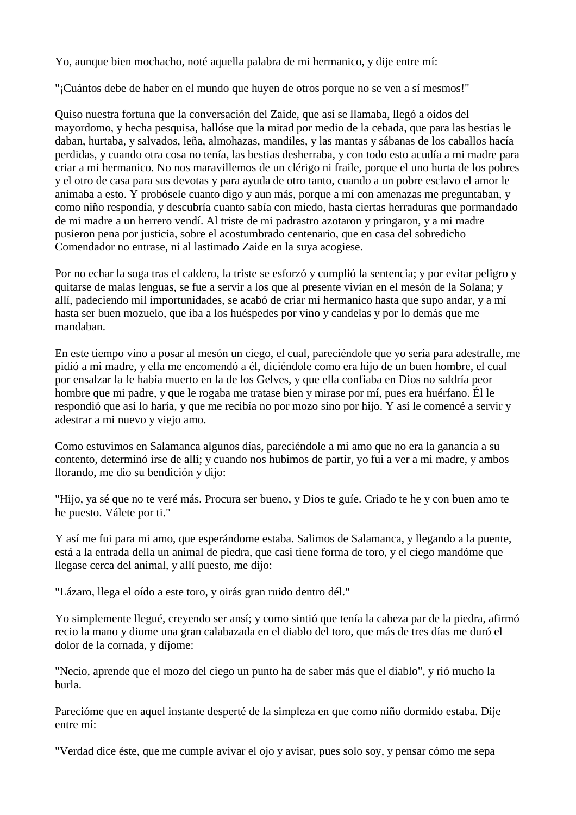Yo, aunque bien mochacho, noté aquella palabra de mi hermanico, y dije entre mí:

"¡Cuántos debe de haber en el mundo que huyen de otros porque no se ven a sí mesmos!"

Quiso nuestra fortuna que la conversación del Zaide, que así se llamaba, llegó a oídos del mayordomo, y hecha pesquisa, hallóse que la mitad por medio de la cebada, que para las bestias le daban, hurtaba, y salvados, leña, almohazas, mandiles, y las mantas y sábanas de los caballos hacía perdidas, y cuando otra cosa no tenía, las bestias desherraba, y con todo esto acudía a mi madre para criar a mi hermanico. No nos maravillemos de un clérigo ni fraile, porque el uno hurta de los pobres y el otro de casa para sus devotas y para ayuda de otro tanto, cuando a un pobre esclavo el amor le animaba a esto. Y probósele cuanto digo y aun más, porque a mí con amenazas me preguntaban, y como niño respondía, y descubría cuanto sabía con miedo, hasta ciertas herraduras que pormandado de mi madre a un herrero vendí. Al triste de mi padrastro azotaron y pringaron, y a mi madre pusieron pena por justicia, sobre el acostumbrado centenario, que en casa del sobredicho Comendador no entrase, ni al lastimado Zaide en la suya acogiese.

Por no echar la soga tras el caldero, la triste se esforzó y cumplió la sentencia; y por evitar peligro y quitarse de malas lenguas, se fue a servir a los que al presente vivían en el mesón de la Solana; y allí, padeciendo mil importunidades, se acabó de criar mi hermanico hasta que supo andar, y a mí hasta ser buen mozuelo, que iba a los huéspedes por vino y candelas y por lo demás que me mandaban.

En este tiempo vino a posar al mesón un ciego, el cual, pareciéndole que yo sería para adestralle, me pidió a mi madre, y ella me encomendó a él, diciéndole como era hijo de un buen hombre, el cual por ensalzar la fe había muerto en la de los Gelves, y que ella confiaba en Dios no saldría peor hombre que mi padre, y que le rogaba me tratase bien y mirase por mí, pues era huérfano. Él le respondió que así lo haría, y que me recibía no por mozo sino por hijo. Y así le comencé a servir y adestrar a mi nuevo y viejo amo.

Como estuvimos en Salamanca algunos días, pareciéndole a mi amo que no era la ganancia a su contento, determinó irse de allí; y cuando nos hubimos de partir, yo fui a ver a mi madre, y ambos llorando, me dio su bendición y dijo:

"Hijo, ya sé que no te veré más. Procura ser bueno, y Dios te guíe. Criado te he y con buen amo te he puesto. Válete por ti."

Y así me fui para mi amo, que esperándome estaba. Salimos de Salamanca, y llegando a la puente, está a la entrada della un animal de piedra, que casi tiene forma de toro, y el ciego mandóme que llegase cerca del animal, y allí puesto, me dijo:

"Lázaro, llega el oído a este toro, y oirás gran ruido dentro dél."

Yo simplemente llegué, creyendo ser ansí; y como sintió que tenía la cabeza par de la piedra, afirmó recio la mano y diome una gran calabazada en el diablo del toro, que más de tres días me duró el dolor de la cornada, y díjome:

"Necio, aprende que el mozo del ciego un punto ha de saber más que el diablo", y rió mucho la burla.

Parecióme que en aquel instante desperté de la simpleza en que como niño dormido estaba. Dije entre mí:

"Verdad dice éste, que me cumple avivar el ojo y avisar, pues solo soy, y pensar cómo me sepa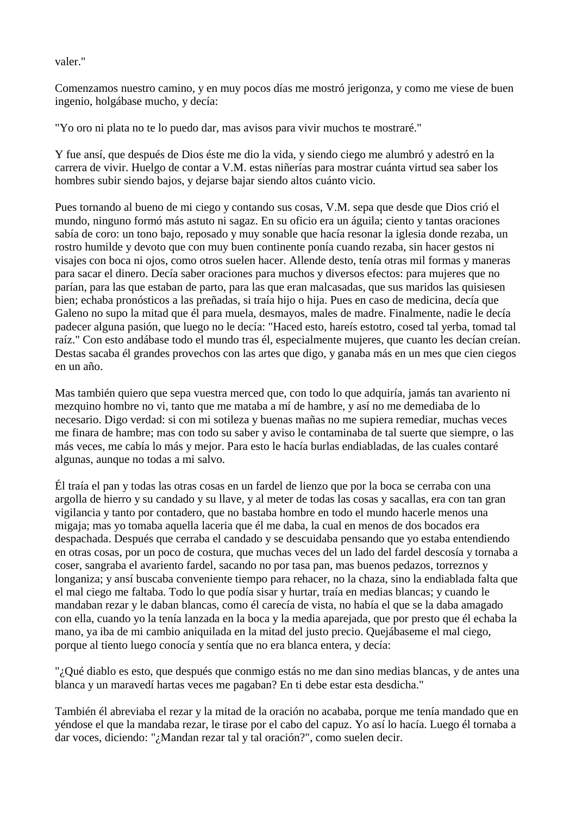valer."

Comenzamos nuestro camino, y en muy pocos días me mostró jerigonza, y como me viese de buen ingenio, holgábase mucho, y decía:

"Yo oro ni plata no te lo puedo dar, mas avisos para vivir muchos te mostraré."

Y fue ansí, que después de Dios éste me dio la vida, y siendo ciego me alumbró y adestró en la carrera de vivir. Huelgo de contar a V.M. estas niñerías para mostrar cuánta virtud sea saber los hombres subir siendo bajos, y dejarse bajar siendo altos cuánto vicio.

Pues tornando al bueno de mi ciego y contando sus cosas, V.M. sepa que desde que Dios crió el mundo, ninguno formó más astuto ni sagaz. En su oficio era un águila; ciento y tantas oraciones sabía de coro: un tono bajo, reposado y muy sonable que hacía resonar la iglesia donde rezaba, un rostro humilde y devoto que con muy buen continente ponía cuando rezaba, sin hacer gestos ni visajes con boca ni ojos, como otros suelen hacer. Allende desto, tenía otras mil formas y maneras para sacar el dinero. Decía saber oraciones para muchos y diversos efectos: para mujeres que no parían, para las que estaban de parto, para las que eran malcasadas, que sus maridos las quisiesen bien; echaba pronósticos a las preñadas, si traía hijo o hija. Pues en caso de medicina, decía que Galeno no supo la mitad que él para muela, desmayos, males de madre. Finalmente, nadie le decía padecer alguna pasión, que luego no le decía: "Haced esto, hareís estotro, cosed tal yerba, tomad tal raíz." Con esto andábase todo el mundo tras él, especialmente mujeres, que cuanto les decían creían. Destas sacaba él grandes provechos con las artes que digo, y ganaba más en un mes que cien ciegos en un año.

Mas también quiero que sepa vuestra merced que, con todo lo que adquiría, jamás tan avariento ni mezquino hombre no vi, tanto que me mataba a mí de hambre, y así no me demediaba de lo necesario. Digo verdad: si con mi sotileza y buenas mañas no me supiera remediar, muchas veces me finara de hambre; mas con todo su saber y aviso le contaminaba de tal suerte que siempre, o las más veces, me cabía lo más y mejor. Para esto le hacía burlas endiabladas, de las cuales contaré algunas, aunque no todas a mi salvo.

Él traía el pan y todas las otras cosas en un fardel de lienzo que por la boca se cerraba con una argolla de hierro y su candado y su llave, y al meter de todas las cosas y sacallas, era con tan gran vigilancia y tanto por contadero, que no bastaba hombre en todo el mundo hacerle menos una migaja; mas yo tomaba aquella laceria que él me daba, la cual en menos de dos bocados era despachada. Después que cerraba el candado y se descuidaba pensando que yo estaba entendiendo en otras cosas, por un poco de costura, que muchas veces del un lado del fardel descosía y tornaba a coser, sangraba el avariento fardel, sacando no por tasa pan, mas buenos pedazos, torreznos y longaniza; y ansí buscaba conveniente tiempo para rehacer, no la chaza, sino la endiablada falta que el mal ciego me faltaba. Todo lo que podía sisar y hurtar, traía en medias blancas; y cuando le mandaban rezar y le daban blancas, como él carecía de vista, no había el que se la daba amagado con ella, cuando yo la tenía lanzada en la boca y la media aparejada, que por presto que él echaba la mano, ya iba de mi cambio aniquilada en la mitad del justo precio. Quejábaseme el mal ciego, porque al tiento luego conocía y sentía que no era blanca entera, y decía:

"¿Qué diablo es esto, que después que conmigo estás no me dan sino medias blancas, y de antes una blanca y un maravedí hartas veces me pagaban? En ti debe estar esta desdicha."

También él abreviaba el rezar y la mitad de la oración no acababa, porque me tenía mandado que en yéndose el que la mandaba rezar, le tirase por el cabo del capuz. Yo así lo hacía. Luego él tornaba a dar voces, diciendo: "¿Mandan rezar tal y tal oración?", como suelen decir.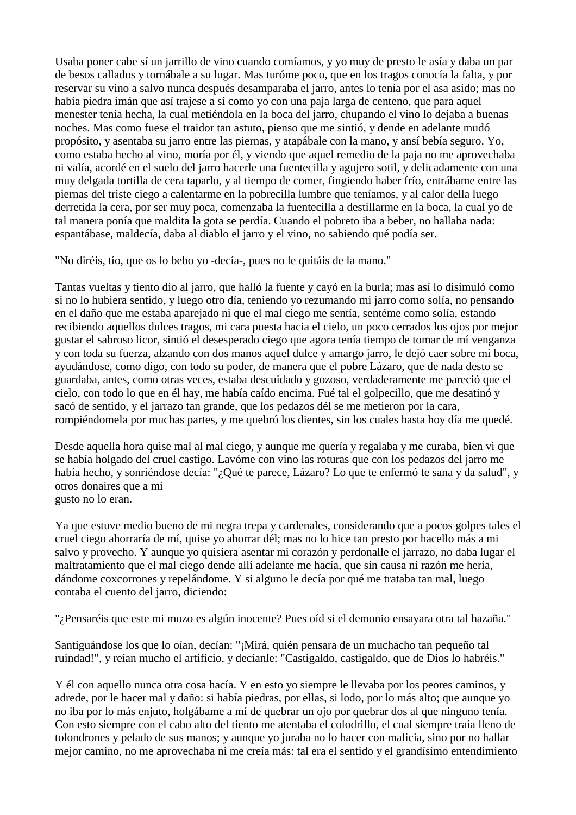Usaba poner cabe sí un jarrillo de vino cuando comíamos, y yo muy de presto le asía y daba un par de besos callados y tornábale a su lugar. Mas turóme poco, que en los tragos conocía la falta, y por reservar su vino a salvo nunca después desamparaba el jarro, antes lo tenía por el asa asido; mas no había piedra imán que así trajese a sí como yo con una paja larga de centeno, que para aquel menester tenía hecha, la cual metiéndola en la boca del jarro, chupando el vino lo dejaba a buenas noches. Mas como fuese el traidor tan astuto, pienso que me sintió, y dende en adelante mudó propósito, y asentaba su jarro entre las piernas, y atapábale con la mano, y ansí bebía seguro. Yo, como estaba hecho al vino, moría por él, y viendo que aquel remedio de la paja no me aprovechaba ni valía, acordé en el suelo del jarro hacerle una fuentecilla y agujero sotil, y delicadamente con una muy delgada tortilla de cera taparlo, y al tiempo de comer, fingiendo haber frío, entrábame entre las piernas del triste ciego a calentarme en la pobrecilla lumbre que teníamos, y al calor della luego derretida la cera, por ser muy poca, comenzaba la fuentecilla a destillarme en la boca, la cual yo de tal manera ponía que maldita la gota se perdía. Cuando el pobreto iba a beber, no hallaba nada: espantábase, maldecía, daba al diablo el jarro y el vino, no sabiendo qué podía ser.

"No diréis, tío, que os lo bebo yo -decía-, pues no le quitáis de la mano."

Tantas vueltas y tiento dio al jarro, que halló la fuente y cayó en la burla; mas así lo disimuló como si no lo hubiera sentido, y luego otro día, teniendo yo rezumando mi jarro como solía, no pensando en el daño que me estaba aparejado ni que el mal ciego me sentía, sentéme como solía, estando recibiendo aquellos dulces tragos, mi cara puesta hacia el cielo, un poco cerrados los ojos por mejor gustar el sabroso licor, sintió el desesperado ciego que agora tenía tiempo de tomar de mí venganza y con toda su fuerza, alzando con dos manos aquel dulce y amargo jarro, le dejó caer sobre mi boca, ayudándose, como digo, con todo su poder, de manera que el pobre Lázaro, que de nada desto se guardaba, antes, como otras veces, estaba descuidado y gozoso, verdaderamente me pareció que el cielo, con todo lo que en él hay, me había caído encima. Fué tal el golpecillo, que me desatinó y sacó de sentido, y el jarrazo tan grande, que los pedazos dél se me metieron por la cara, rompiéndomela por muchas partes, y me quebró los dientes, sin los cuales hasta hoy día me quedé.

Desde aquella hora quise mal al mal ciego, y aunque me quería y regalaba y me curaba, bien vi que se había holgado del cruel castigo. Lavóme con vino las roturas que con los pedazos del jarro me había hecho, y sonriéndose decía: "¿Qué te parece, Lázaro? Lo que te enfermó te sana y da salud", y otros donaires que a mi gusto no lo eran.

Ya que estuve medio bueno de mi negra trepa y cardenales, considerando que a pocos golpes tales el cruel ciego ahorraría de mí, quise yo ahorrar dél; mas no lo hice tan presto por hacello más a mi salvo y provecho. Y aunque yo quisiera asentar mi corazón y perdonalle el jarrazo, no daba lugar el maltratamiento que el mal ciego dende allí adelante me hacía, que sin causa ni razón me hería, dándome coxcorrones y repelándome. Y si alguno le decía por qué me trataba tan mal, luego contaba el cuento del jarro, diciendo:

"¿Pensaréis que este mi mozo es algún inocente? Pues oíd si el demonio ensayara otra tal hazaña."

Santiguándose los que lo oían, decían: "¡Mirá, quién pensara de un muchacho tan pequeño tal ruindad!", y reían mucho el artificio, y decíanle: "Castigaldo, castigaldo, que de Dios lo habréis."

Y él con aquello nunca otra cosa hacía. Y en esto yo siempre le llevaba por los peores caminos, y adrede, por le hacer mal y daño: si había piedras, por ellas, si lodo, por lo más alto; que aunque yo no iba por lo más enjuto, holgábame a mí de quebrar un ojo por quebrar dos al que ninguno tenía. Con esto siempre con el cabo alto del tiento me atentaba el colodrillo, el cual siempre traía lleno de tolondrones y pelado de sus manos; y aunque yo juraba no lo hacer con malicia, sino por no hallar mejor camino, no me aprovechaba ni me creía más: tal era el sentido y el grandísimo entendimiento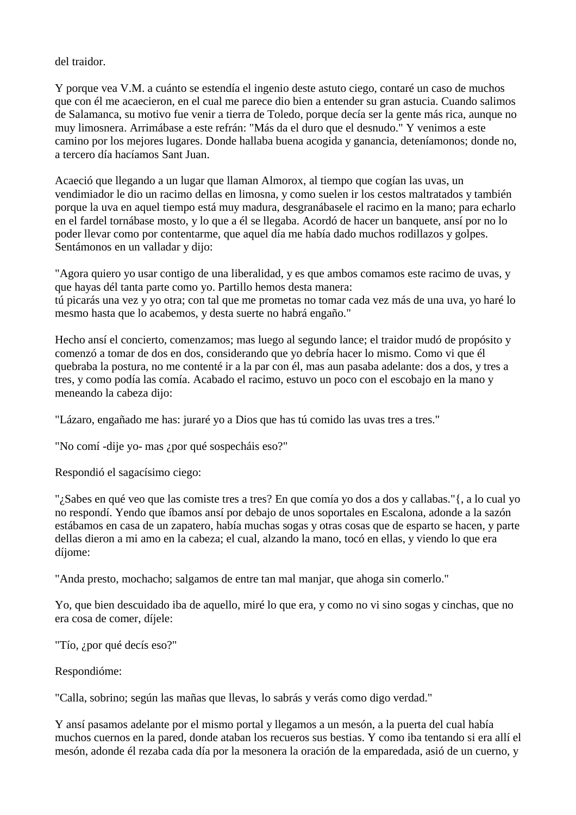# del traidor.

Y porque vea V.M. a cuánto se estendía el ingenio deste astuto ciego, contaré un caso de muchos que con él me acaecieron, en el cual me parece dio bien a entender su gran astucia. Cuando salimos de Salamanca, su motivo fue venir a tierra de Toledo, porque decía ser la gente más rica, aunque no muy limosnera. Arrimábase a este refrán: "Más da el duro que el desnudo." Y venimos a este camino por los mejores lugares. Donde hallaba buena acogida y ganancia, deteníamonos; donde no, a tercero día hacíamos Sant Juan.

Acaeció que llegando a un lugar que llaman Almorox, al tiempo que cogían las uvas, un vendimiador le dio un racimo dellas en limosna, y como suelen ir los cestos maltratados y también porque la uva en aquel tiempo está muy madura, desgranábasele el racimo en la mano; para echarlo en el fardel tornábase mosto, y lo que a él se llegaba. Acordó de hacer un banquete, ansí por no lo poder llevar como por contentarme, que aquel día me había dado muchos rodillazos y golpes. Sentámonos en un valladar y dijo:

"Agora quiero yo usar contigo de una liberalidad, y es que ambos comamos este racimo de uvas, y que hayas dél tanta parte como yo. Partillo hemos desta manera: tú picarás una vez y yo otra; con tal que me prometas no tomar cada vez más de una uva, yo haré lo mesmo hasta que lo acabemos, y desta suerte no habrá engaño."

Hecho ansí el concierto, comenzamos; mas luego al segundo lance; el traidor mudó de propósito y comenzó a tomar de dos en dos, considerando que yo debría hacer lo mismo. Como vi que él quebraba la postura, no me contenté ir a la par con él, mas aun pasaba adelante: dos a dos, y tres a tres, y como podía las comía. Acabado el racimo, estuvo un poco con el escobajo en la mano y meneando la cabeza dijo:

"Lázaro, engañado me has: juraré yo a Dios que has tú comido las uvas tres a tres."

"No comí -dije yo- mas ¿por qué sospecháis eso?"

Respondió el sagacísimo ciego:

"¿Sabes en qué veo que las comiste tres a tres? En que comía yo dos a dos y callabas."{, a lo cual yo no respondí. Yendo que íbamos ansí por debajo de unos soportales en Escalona, adonde a la sazón estábamos en casa de un zapatero, había muchas sogas y otras cosas que de esparto se hacen, y parte dellas dieron a mi amo en la cabeza; el cual, alzando la mano, tocó en ellas, y viendo lo que era díjome:

"Anda presto, mochacho; salgamos de entre tan mal manjar, que ahoga sin comerlo."

Yo, que bien descuidado iba de aquello, miré lo que era, y como no vi sino sogas y cinchas, que no era cosa de comer, díjele:

"Tío, ¿por qué decís eso?"

Respondióme:

"Calla, sobrino; según las mañas que llevas, lo sabrás y verás como digo verdad."

Y ansí pasamos adelante por el mismo portal y llegamos a un mesón, a la puerta del cual había muchos cuernos en la pared, donde ataban los recueros sus bestias. Y como iba tentando si era allí el mesón, adonde él rezaba cada día por la mesonera la oración de la emparedada, asió de un cuerno, y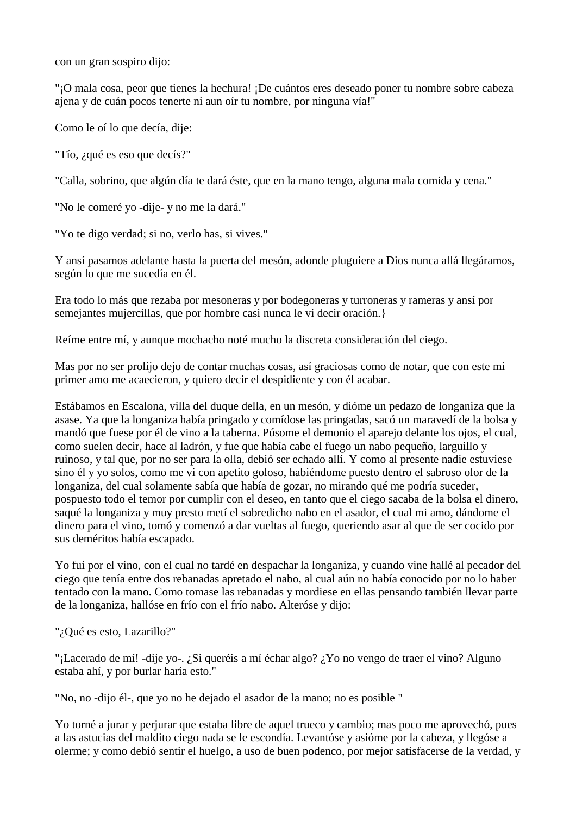con un gran sospiro dijo:

"¡O mala cosa, peor que tienes la hechura! ¡De cuántos eres deseado poner tu nombre sobre cabeza ajena y de cuán pocos tenerte ni aun oír tu nombre, por ninguna vía!"

Como le oí lo que decía, dije:

"Tío, ¿qué es eso que decís?"

"Calla, sobrino, que algún día te dará éste, que en la mano tengo, alguna mala comida y cena."

"No le comeré yo -dije- y no me la dará."

"Yo te digo verdad; si no, verlo has, si vives."

Y ansí pasamos adelante hasta la puerta del mesón, adonde pluguiere a Dios nunca allá llegáramos, según lo que me sucedía en él.

Era todo lo más que rezaba por mesoneras y por bodegoneras y turroneras y rameras y ansí por semejantes mujercillas, que por hombre casi nunca le vi decir oración.}

Reíme entre mí, y aunque mochacho noté mucho la discreta consideración del ciego.

Mas por no ser prolijo dejo de contar muchas cosas, así graciosas como de notar, que con este mi primer amo me acaecieron, y quiero decir el despidiente y con él acabar.

Estábamos en Escalona, villa del duque della, en un mesón, y dióme un pedazo de longaniza que la asase. Ya que la longaniza había pringado y comídose las pringadas, sacó un maravedí de la bolsa y mandó que fuese por él de vino a la taberna. Púsome el demonio el aparejo delante los ojos, el cual, como suelen decir, hace al ladrón, y fue que había cabe el fuego un nabo pequeño, larguillo y ruinoso, y tal que, por no ser para la olla, debió ser echado allí. Y como al presente nadie estuviese sino él y yo solos, como me vi con apetito goloso, habiéndome puesto dentro el sabroso olor de la longaniza, del cual solamente sabía que había de gozar, no mirando qué me podría suceder, pospuesto todo el temor por cumplir con el deseo, en tanto que el ciego sacaba de la bolsa el dinero, saqué la longaniza y muy presto metí el sobredicho nabo en el asador, el cual mi amo, dándome el dinero para el vino, tomó y comenzó a dar vueltas al fuego, queriendo asar al que de ser cocido por sus deméritos había escapado.

Yo fui por el vino, con el cual no tardé en despachar la longaniza, y cuando vine hallé al pecador del ciego que tenía entre dos rebanadas apretado el nabo, al cual aún no había conocido por no lo haber tentado con la mano. Como tomase las rebanadas y mordiese en ellas pensando también llevar parte de la longaniza, hallóse en frío con el frío nabo. Alteróse y dijo:

"¿Qué es esto, Lazarillo?"

"¡Lacerado de mí! -dije yo-. ¿Si queréis a mí échar algo? ¿Yo no vengo de traer el vino? Alguno estaba ahí, y por burlar haría esto."

"No, no -dijo él-, que yo no he dejado el asador de la mano; no es posible "

Yo torné a jurar y perjurar que estaba libre de aquel trueco y cambio; mas poco me aprovechó, pues a las astucias del maldito ciego nada se le escondía. Levantóse y asióme por la cabeza, y llegóse a olerme; y como debió sentir el huelgo, a uso de buen podenco, por mejor satisfacerse de la verdad, y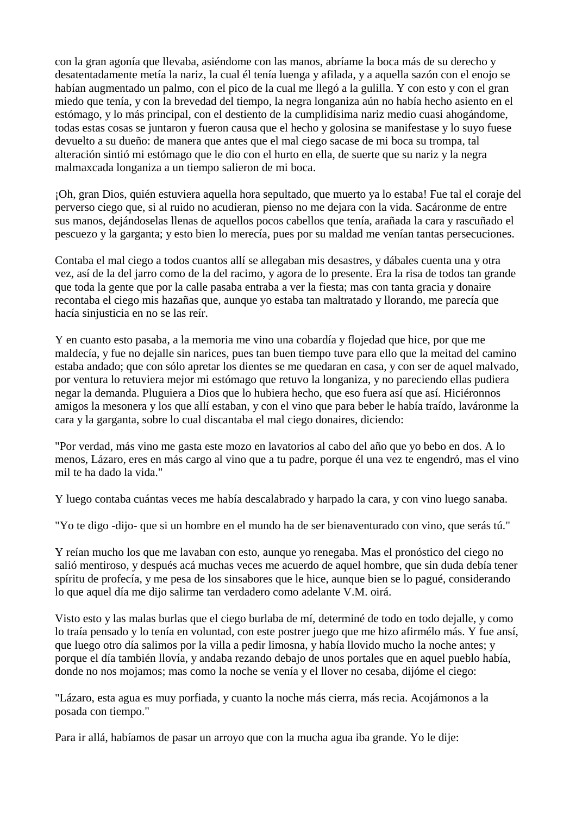con la gran agonía que llevaba, asiéndome con las manos, abríame la boca más de su derecho y desatentadamente metía la nariz, la cual él tenía luenga y afilada, y a aquella sazón con el enojo se habían augmentado un palmo, con el pico de la cual me llegó a la gulilla. Y con esto y con el gran miedo que tenía, y con la brevedad del tiempo, la negra longaniza aún no había hecho asiento en el estómago, y lo más principal, con el destiento de la cumplidísima nariz medio cuasi ahogándome, todas estas cosas se juntaron y fueron causa que el hecho y golosina se manifestase y lo suyo fuese devuelto a su dueño: de manera que antes que el mal ciego sacase de mi boca su trompa, tal alteración sintió mi estómago que le dio con el hurto en ella, de suerte que su nariz y la negra malmaxcada longaniza a un tiempo salieron de mi boca.

¡Oh, gran Dios, quién estuviera aquella hora sepultado, que muerto ya lo estaba! Fue tal el coraje del perverso ciego que, si al ruido no acudieran, pienso no me dejara con la vida. Sacáronme de entre sus manos, dejándoselas llenas de aquellos pocos cabellos que tenía, arañada la cara y rascuñado el pescuezo y la garganta; y esto bien lo merecía, pues por su maldad me venían tantas persecuciones.

Contaba el mal ciego a todos cuantos allí se allegaban mis desastres, y dábales cuenta una y otra vez, así de la del jarro como de la del racimo, y agora de lo presente. Era la risa de todos tan grande que toda la gente que por la calle pasaba entraba a ver la fiesta; mas con tanta gracia y donaire recontaba el ciego mis hazañas que, aunque yo estaba tan maltratado y llorando, me parecía que hacía sinjusticia en no se las reír.

Y en cuanto esto pasaba, a la memoria me vino una cobardía y flojedad que hice, por que me maldecía, y fue no dejalle sin narices, pues tan buen tiempo tuve para ello que la meitad del camino estaba andado; que con sólo apretar los dientes se me quedaran en casa, y con ser de aquel malvado, por ventura lo retuviera mejor mi estómago que retuvo la longaniza, y no pareciendo ellas pudiera negar la demanda. Pluguiera a Dios que lo hubiera hecho, que eso fuera así que así. Hiciéronnos amigos la mesonera y los que allí estaban, y con el vino que para beber le había traído, laváronme la cara y la garganta, sobre lo cual discantaba el mal ciego donaires, diciendo:

"Por verdad, más vino me gasta este mozo en lavatorios al cabo del año que yo bebo en dos. A lo menos, Lázaro, eres en más cargo al vino que a tu padre, porque él una vez te engendró, mas el vino mil te ha dado la vida."

Y luego contaba cuántas veces me había descalabrado y harpado la cara, y con vino luego sanaba.

"Yo te digo -dijo- que si un hombre en el mundo ha de ser bienaventurado con vino, que serás tú."

Y reían mucho los que me lavaban con esto, aunque yo renegaba. Mas el pronóstico del ciego no salió mentiroso, y después acá muchas veces me acuerdo de aquel hombre, que sin duda debía tener spíritu de profecía, y me pesa de los sinsabores que le hice, aunque bien se lo pagué, considerando lo que aquel día me dijo salirme tan verdadero como adelante V.M. oirá.

Visto esto y las malas burlas que el ciego burlaba de mí, determiné de todo en todo dejalle, y como lo traía pensado y lo tenía en voluntad, con este postrer juego que me hizo afirmélo más. Y fue ansí, que luego otro día salimos por la villa a pedir limosna, y había llovido mucho la noche antes; y porque el día también llovía, y andaba rezando debajo de unos portales que en aquel pueblo había, donde no nos mojamos; mas como la noche se venía y el llover no cesaba, dijóme el ciego:

"Lázaro, esta agua es muy porfiada, y cuanto la noche más cierra, más recia. Acojámonos a la posada con tiempo."

Para ir allá, habíamos de pasar un arroyo que con la mucha agua iba grande. Yo le dije: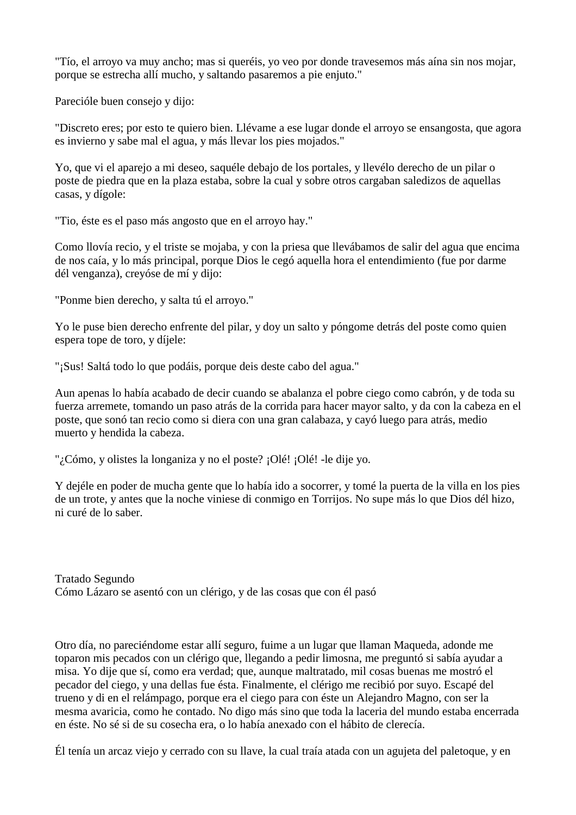"Tío, el arroyo va muy ancho; mas si queréis, yo veo por donde travesemos más aína sin nos mojar, porque se estrecha allí mucho, y saltando pasaremos a pie enjuto."

Parecióle buen consejo y dijo:

"Discreto eres; por esto te quiero bien. Llévame a ese lugar donde el arroyo se ensangosta, que agora es invierno y sabe mal el agua, y más llevar los pies mojados."

Yo, que vi el aparejo a mi deseo, saquéle debajo de los portales, y llevélo derecho de un pilar o poste de piedra que en la plaza estaba, sobre la cual y sobre otros cargaban saledizos de aquellas casas, y dígole:

"Tio, éste es el paso más angosto que en el arroyo hay."

Como llovía recio, y el triste se mojaba, y con la priesa que llevábamos de salir del agua que encima de nos caía, y lo más principal, porque Dios le cegó aquella hora el entendimiento (fue por darme dél venganza), creyóse de mí y dijo:

"Ponme bien derecho, y salta tú el arroyo."

Yo le puse bien derecho enfrente del pilar, y doy un salto y póngome detrás del poste como quien espera tope de toro, y díjele:

"¡Sus! Saltá todo lo que podáis, porque deis deste cabo del agua."

Aun apenas lo había acabado de decir cuando se abalanza el pobre ciego como cabrón, y de toda su fuerza arremete, tomando un paso atrás de la corrida para hacer mayor salto, y da con la cabeza en el poste, que sonó tan recio como si diera con una gran calabaza, y cayó luego para atrás, medio muerto y hendida la cabeza.

"¿Cómo, y olistes la longaniza y no el poste? ¡Olé! ¡Olé! -le dije yo.

Y dejéle en poder de mucha gente que lo había ido a socorrer, y tomé la puerta de la villa en los pies de un trote, y antes que la noche viniese di conmigo en Torrijos. No supe más lo que Dios dél hizo, ni curé de lo saber.

Tratado Segundo Cómo Lázaro se asentó con un clérigo, y de las cosas que con él pasó

Otro día, no pareciéndome estar allí seguro, fuime a un lugar que llaman Maqueda, adonde me toparon mis pecados con un clérigo que, llegando a pedir limosna, me preguntó si sabía ayudar a misa. Yo dije que sí, como era verdad; que, aunque maltratado, mil cosas buenas me mostró el pecador del ciego, y una dellas fue ésta. Finalmente, el clérigo me recibió por suyo. Escapé del trueno y di en el relámpago, porque era el ciego para con éste un Alejandro Magno, con ser la mesma avaricia, como he contado. No digo más sino que toda la laceria del mundo estaba encerrada en éste. No sé si de su cosecha era, o lo había anexado con el hábito de clerecía.

Él tenía un arcaz viejo y cerrado con su llave, la cual traía atada con un agujeta del paletoque, y en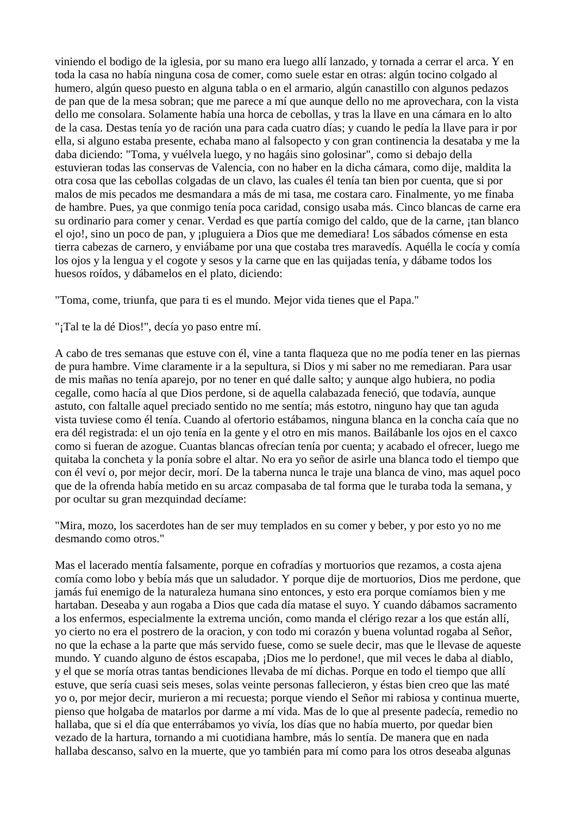viniendo el bodigo de la iglesia, por su mano era luego allí lanzado, y tornada a cerrar el arca. Y en toda la casa no había ninguna cosa de comer, como suele estar en otras: algún tocino colgado al humero, algún queso puesto en alguna tabla o en el armario, algún canastillo con algunos pedazos de pan que de la mesa sobran; que me parece a mí que aunque dello no me aprovechara, con la vista dello me consolara. Solamente había una horca de cebollas, y tras la llave en una cámara en lo alto de la casa. Destas tenía yo de ración una para cada cuatro días; y cuando le pedía la llave para ir por ella, si alguno estaba presente, echaba mano al falsopecto y con gran continencia la desataba y me la daba diciendo: "Toma, y vuélvela luego, y no hagáis sino golosinar", como si debajo della estuvieran todas las conservas de Valencia, con no haber en la dicha cámara, como dije, maldita la otra cosa que las cebollas colgadas de un clavo, las cuales él tenía tan bien por cuenta, que si por malos de mis pecados me desmandara a más de mi tasa, me costara caro. Finalmente, yo me finaba de hambre. Pues, ya que conmigo tenía poca caridad, consigo usaba más. Cinco blancas de carne era su ordinario para comer y cenar. Verdad es que partía comigo del caldo, que de la carne, ¡tan blanco el ojo!, sino un poco de pan, y ¡pluguiera a Dios que me demediara! Los sábados cómense en esta tierra cabezas de carnero, y enviábame por una que costaba tres maravedís. Aquélla le cocía y comía los ojos y la lengua y el cogote y sesos y la carne que en las quijadas tenía, y dábame todos los huesos roídos, y dábamelos en el plato, diciendo:

"Toma, come, triunfa, que para ti es el mundo. Mejor vida tienes que el Papa."

"¡Tal te la dé Dios!", decía yo paso entre mí.

A cabo de tres semanas que estuve con él, vine a tanta flaqueza que no me podía tener en las piernas de pura hambre. Vime claramente ir a la sepultura, si Dios y mi saber no me remediaran. Para usar de mis mañas no tenía aparejo, por no tener en qué dalle salto; y aunque algo hubiera, no podia cegalle, como hacía al que Dios perdone, si de aquella calabazada feneció, que todavía, aunque astuto, con faltalle aquel preciado sentido no me sentía; más estotro, ninguno hay que tan aguda vista tuviese como él tenía. Cuando al ofertorio estábamos, ninguna blanca en la concha caía que no era dél registrada: el un ojo tenía en la gente y el otro en mis manos. Bailábanle los ojos en el caxco como si fueran de azogue. Cuantas blancas ofrecían tenía por cuenta; y acabado el ofrecer, luego me quitaba la concheta y la ponía sobre el altar. No era yo señor de asirle una blanca todo el tiempo que con él veví o, por mejor decir, morí. De la taberna nunca le traje una blanca de vino, mas aquel poco que de la ofrenda había metido en su arcaz compasaba de tal forma que le turaba toda la semana, y por ocultar su gran mezquindad decíame:

"Mira, mozo, los sacerdotes han de ser muy templados en su comer y beber, y por esto yo no me desmando como otros."

Mas el lacerado mentía falsamente, porque en cofradías y mortuorios que rezamos, a costa ajena comía como lobo y bebía más que un saludador. Y porque dije de mortuorios, Dios me perdone, que jamás fui enemigo de la naturaleza humana sino entonces, y esto era porque comíamos bien y me hartaban. Deseaba y aun rogaba a Dios que cada día matase el suyo. Y cuando dábamos sacramento a los enfermos, especialmente la extrema unción, como manda el clérigo rezar a los que están allí, yo cierto no era el postrero de la oracion, y con todo mi corazón y buena voluntad rogaba al Señor, no que la echase a la parte que más servido fuese, como se suele decir, mas que le llevase de aqueste mundo. Y cuando alguno de éstos escapaba, ¡Dios me lo perdone!, que mil veces le daba al diablo, y el que se moría otras tantas bendiciones llevaba de mí dichas. Porque en todo el tiempo que allí estuve, que sería cuasi seis meses, solas veinte personas fallecieron, y éstas bien creo que las maté yo o, por mejor decir, murieron a mi recuesta; porque viendo el Señor mi rabiosa y continua muerte, pienso que holgaba de matarlos por darme a mí vida. Mas de lo que al presente padecía, remedio no hallaba, que si el día que enterrábamos yo vivía, los días que no había muerto, por quedar bien vezado de la hartura, tornando a mi cuotidiana hambre, más lo sentía. De manera que en nada hallaba descanso, salvo en la muerte, que yo también para mí como para los otros deseaba algunas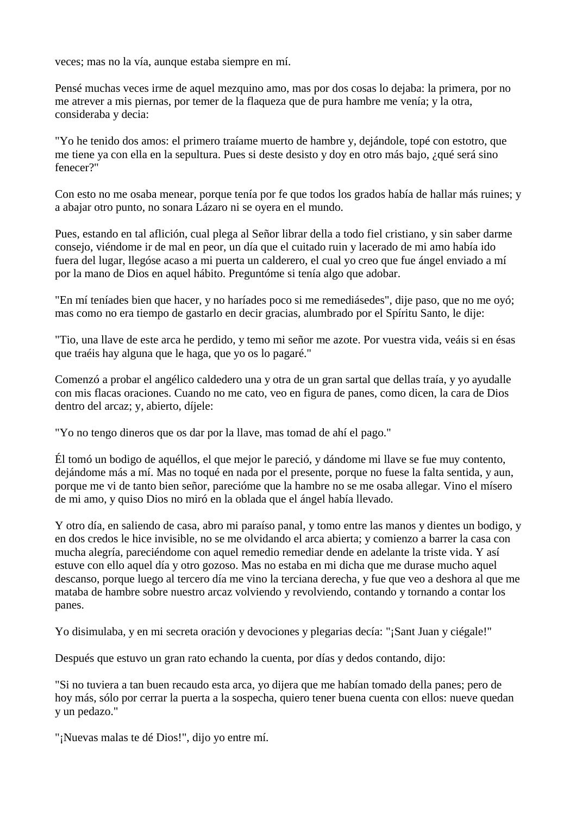veces; mas no la vía, aunque estaba siempre en mí.

Pensé muchas veces irme de aquel mezquino amo, mas por dos cosas lo dejaba: la primera, por no me atrever a mis piernas, por temer de la flaqueza que de pura hambre me venía; y la otra, consideraba y decia:

"Yo he tenido dos amos: el primero traíame muerto de hambre y, dejándole, topé con estotro, que me tiene ya con ella en la sepultura. Pues si deste desisto y doy en otro más bajo, ¿qué será sino fenecer?"

Con esto no me osaba menear, porque tenía por fe que todos los grados había de hallar más ruines; y a abajar otro punto, no sonara Lázaro ni se oyera en el mundo.

Pues, estando en tal aflición, cual plega al Señor librar della a todo fiel cristiano, y sin saber darme consejo, viéndome ir de mal en peor, un día que el cuitado ruin y lacerado de mi amo había ido fuera del lugar, llegóse acaso a mi puerta un calderero, el cual yo creo que fue ángel enviado a mí por la mano de Dios en aquel hábito. Preguntóme si tenía algo que adobar.

"En mí teníades bien que hacer, y no haríades poco si me remediásedes", dije paso, que no me oyó; mas como no era tiempo de gastarlo en decir gracias, alumbrado por el Spíritu Santo, le dije:

"Tio, una llave de este arca he perdido, y temo mi señor me azote. Por vuestra vida, veáis si en ésas que traéis hay alguna que le haga, que yo os lo pagaré."

Comenzó a probar el angélico caldedero una y otra de un gran sartal que dellas traía, y yo ayudalle con mis flacas oraciones. Cuando no me cato, veo en figura de panes, como dicen, la cara de Dios dentro del arcaz; y, abierto, díjele:

"Yo no tengo dineros que os dar por la llave, mas tomad de ahí el pago."

Él tomó un bodigo de aquéllos, el que mejor le pareció, y dándome mi llave se fue muy contento, dejándome más a mí. Mas no toqué en nada por el presente, porque no fuese la falta sentida, y aun, porque me vi de tanto bien señor, parecióme que la hambre no se me osaba allegar. Vino el mísero de mi amo, y quiso Dios no miró en la oblada que el ángel había llevado.

Y otro día, en saliendo de casa, abro mi paraíso panal, y tomo entre las manos y dientes un bodigo, y en dos credos le hice invisible, no se me olvidando el arca abierta; y comienzo a barrer la casa con mucha alegría, pareciéndome con aquel remedio remediar dende en adelante la triste vida. Y así estuve con ello aquel día y otro gozoso. Mas no estaba en mi dicha que me durase mucho aquel descanso, porque luego al tercero día me vino la terciana derecha, y fue que veo a deshora al que me mataba de hambre sobre nuestro arcaz volviendo y revolviendo, contando y tornando a contar los panes.

Yo disimulaba, y en mi secreta oración y devociones y plegarias decía: "¡Sant Juan y ciégale!"

Después que estuvo un gran rato echando la cuenta, por días y dedos contando, dijo:

"Si no tuviera a tan buen recaudo esta arca, yo dijera que me habían tomado della panes; pero de hoy más, sólo por cerrar la puerta a la sospecha, quiero tener buena cuenta con ellos: nueve quedan y un pedazo."

"¡Nuevas malas te dé Dios!", dijo yo entre mí.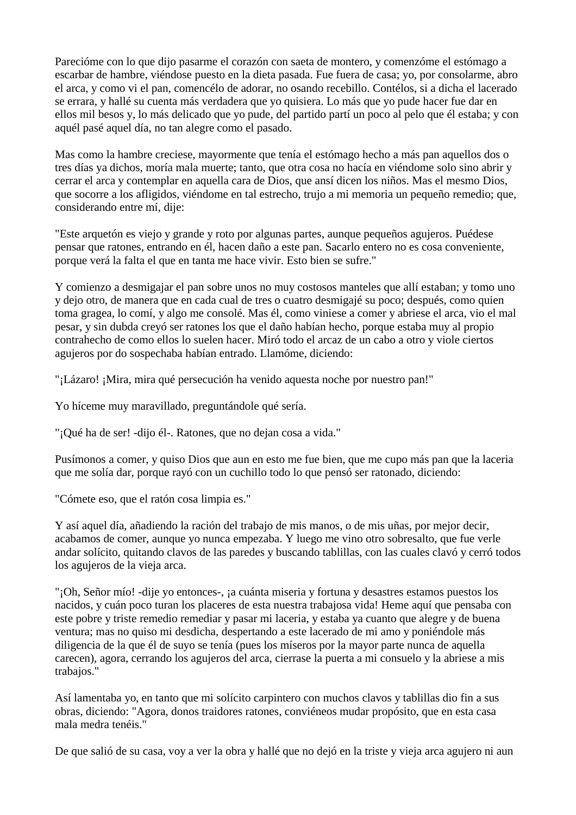Parecióme con lo que dijo pasarme el corazón con saeta de montero, y comenzóme el estómago a escarbar de hambre, viéndose puesto en la dieta pasada. Fue fuera de casa; yo, por consolarme, abro el arca, y como vi el pan, comencélo de adorar, no osando recebillo. Contélos, si a dicha el lacerado se errara, y hallé su cuenta más verdadera que yo quisiera. Lo más que yo pude hacer fue dar en ellos mil besos y, lo más delicado que yo pude, del partido partí un poco al pelo que él estaba; y con aquél pasé aquel día, no tan alegre como el pasado.

Mas como la hambre creciese, mayormente que tenía el estómago hecho a más pan aquellos dos o tres días ya dichos, moría mala muerte; tanto, que otra cosa no hacía en viéndome solo sino abrir y cerrar el arca y contemplar en aquella cara de Dios, que ansí dicen los niños. Mas el mesmo Dios, que socorre a los afligidos, viéndome en tal estrecho, trujo a mi memoria un pequeño remedio; que, considerando entre mí, dije:

"Este arquetón es viejo y grande y roto por algunas partes, aunque pequeños agujeros. Puédese pensar que ratones, entrando en él, hacen daño a este pan. Sacarlo entero no es cosa conveniente, porque verá la falta el que en tanta me hace vivir. Esto bien se sufre."

Y comienzo a desmigajar el pan sobre unos no muy costosos manteles que allí estaban; y tomo uno y dejo otro, de manera que en cada cual de tres o cuatro desmigajé su poco; después, como quien toma gragea, lo comí, y algo me consolé. Mas él, como viniese a comer y abriese el arca, vio el mal pesar, y sin dubda creyó ser ratones los que el daño habían hecho, porque estaba muy al propio contrahecho de como ellos lo suelen hacer. Miró todo el arcaz de un cabo a otro y viole ciertos agujeros por do sospechaba habían entrado. Llamóme, diciendo:

"¡Lázaro! ¡Mira, mira qué persecución ha venido aquesta noche por nuestro pan!"

Yo híceme muy maravillado, preguntándole qué sería.

"¡Qué ha de ser! -dijo él-. Ratones, que no dejan cosa a vida."

Pusímonos a comer, y quiso Dios que aun en esto me fue bien, que me cupo más pan que la laceria que me solía dar, porque rayó con un cuchillo todo lo que pensó ser ratonado, diciendo:

"Cómete eso, que el ratón cosa limpia es."

Y así aquel día, añadiendo la ración del trabajo de mis manos, o de mis uñas, por mejor decir, acabamos de comer, aunque yo nunca empezaba. Y luego me vino otro sobresalto, que fue verle andar solícito, quitando clavos de las paredes y buscando tablillas, con las cuales clavó y cerró todos los agujeros de la vieja arca.

"¡Oh, Señor mío! -dije yo entonces-, ¡a cuánta miseria y fortuna y desastres estamos puestos los nacidos, y cuán poco turan los placeres de esta nuestra trabajosa vida! Heme aquí que pensaba con este pobre y triste remedio remediar y pasar mi laceria, y estaba ya cuanto que alegre y de buena ventura; mas no quiso mi desdicha, despertando a este lacerado de mi amo y poniéndole más diligencia de la que él de suyo se tenía (pues los míseros por la mayor parte nunca de aquella carecen), agora, cerrando los agujeros del arca, cierrase la puerta a mi consuelo y la abriese a mis trabajos."

Así lamentaba yo, en tanto que mi solícito carpintero con muchos clavos y tablillas dio fin a sus obras, diciendo: "Agora, donos traidores ratones, conviéneos mudar propósito, que en esta casa mala medra tenéis."

De que salió de su casa, voy a ver la obra y hallé que no dejó en la triste y vieja arca agujero ni aun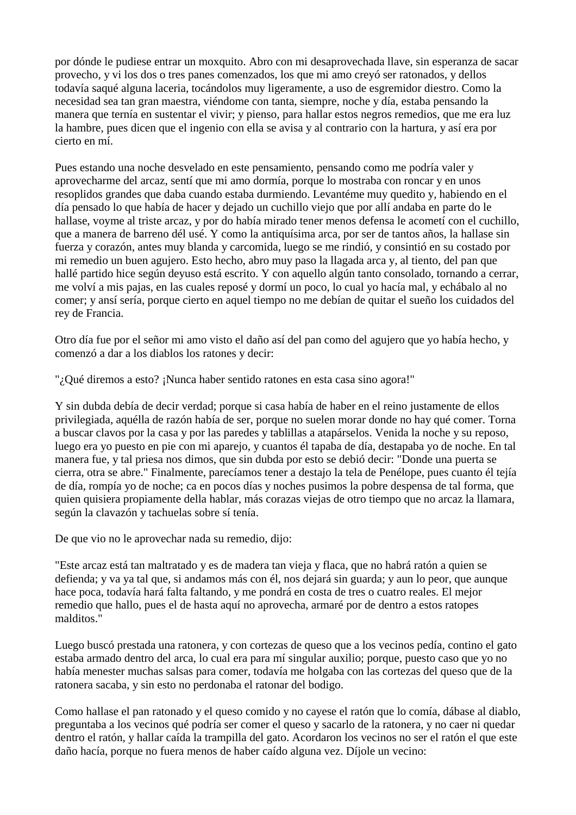por dónde le pudiese entrar un moxquito. Abro con mi desaprovechada llave, sin esperanza de sacar provecho, y vi los dos o tres panes comenzados, los que mi amo creyó ser ratonados, y dellos todavía saqué alguna laceria, tocándolos muy ligeramente, a uso de esgremidor diestro. Como la necesidad sea tan gran maestra, viéndome con tanta, siempre, noche y día, estaba pensando la manera que ternía en sustentar el vivir; y pienso, para hallar estos negros remedios, que me era luz la hambre, pues dicen que el ingenio con ella se avisa y al contrario con la hartura, y así era por cierto en mí.

Pues estando una noche desvelado en este pensamiento, pensando como me podría valer y aprovecharme del arcaz, sentí que mi amo dormía, porque lo mostraba con roncar y en unos resoplidos grandes que daba cuando estaba durmiendo. Levantéme muy quedito y, habiendo en el día pensado lo que había de hacer y dejado un cuchillo viejo que por allí andaba en parte do le hallase, voyme al triste arcaz, y por do había mirado tener menos defensa le acometí con el cuchillo, que a manera de barreno dél usé. Y como la antiquísima arca, por ser de tantos años, la hallase sin fuerza y corazón, antes muy blanda y carcomida, luego se me rindió, y consintió en su costado por mi remedio un buen agujero. Esto hecho, abro muy paso la llagada arca y, al tiento, del pan que hallé partido hice según deyuso está escrito. Y con aquello algún tanto consolado, tornando a cerrar, me volví a mis pajas, en las cuales reposé y dormí un poco, lo cual yo hacía mal, y echábalo al no comer; y ansí sería, porque cierto en aquel tiempo no me debían de quitar el sueño los cuidados del rey de Francia.

Otro día fue por el señor mi amo visto el daño así del pan como del agujero que yo había hecho, y comenzó a dar a los diablos los ratones y decir:

"; Qué diremos a esto? ¡Nunca haber sentido ratones en esta casa sino agora!"

Y sin dubda debía de decir verdad; porque si casa había de haber en el reino justamente de ellos privilegiada, aquélla de razón había de ser, porque no suelen morar donde no hay qué comer. Torna a buscar clavos por la casa y por las paredes y tablillas a atapárselos. Venida la noche y su reposo, luego era yo puesto en pie con mi aparejo, y cuantos él tapaba de día, destapaba yo de noche. En tal manera fue, y tal priesa nos dimos, que sin dubda por esto se debió decir: "Donde una puerta se cierra, otra se abre." Finalmente, parecíamos tener a destajo la tela de Penélope, pues cuanto él tejía de día, rompía yo de noche; ca en pocos días y noches pusimos la pobre despensa de tal forma, que quien quisiera propiamente della hablar, más corazas viejas de otro tiempo que no arcaz la llamara, según la clavazón y tachuelas sobre sí tenía.

De que vio no le aprovechar nada su remedio, dijo:

"Este arcaz está tan maltratado y es de madera tan vieja y flaca, que no habrá ratón a quien se defienda; y va ya tal que, si andamos más con él, nos dejará sin guarda; y aun lo peor, que aunque hace poca, todavía hará falta faltando, y me pondrá en costa de tres o cuatro reales. El mejor remedio que hallo, pues el de hasta aquí no aprovecha, armaré por de dentro a estos ratopes malditos."

Luego buscó prestada una ratonera, y con cortezas de queso que a los vecinos pedía, contino el gato estaba armado dentro del arca, lo cual era para mí singular auxilio; porque, puesto caso que yo no había menester muchas salsas para comer, todavía me holgaba con las cortezas del queso que de la ratonera sacaba, y sin esto no perdonaba el ratonar del bodigo.

Como hallase el pan ratonado y el queso comido y no cayese el ratón que lo comía, dábase al diablo, preguntaba a los vecinos qué podría ser comer el queso y sacarlo de la ratonera, y no caer ni quedar dentro el ratón, y hallar caída la trampilla del gato. Acordaron los vecinos no ser el ratón el que este daño hacía, porque no fuera menos de haber caído alguna vez. Díjole un vecino: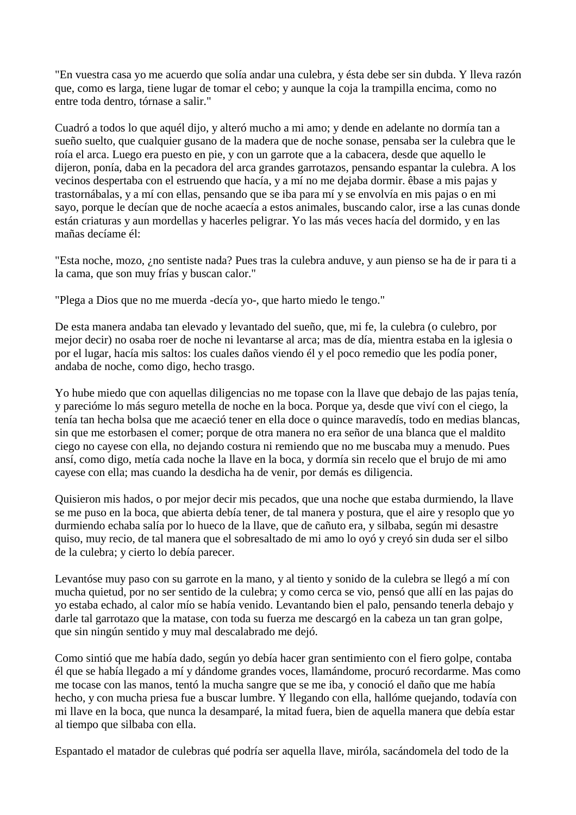"En vuestra casa yo me acuerdo que solía andar una culebra, y ésta debe ser sin dubda. Y lleva razón que, como es larga, tiene lugar de tomar el cebo; y aunque la coja la trampilla encima, como no entre toda dentro, tórnase a salir."

Cuadró a todos lo que aquél dijo, y alteró mucho a mi amo; y dende en adelante no dormía tan a sueño suelto, que cualquier gusano de la madera que de noche sonase, pensaba ser la culebra que le roía el arca. Luego era puesto en pie, y con un garrote que a la cabacera, desde que aquello le dijeron, ponía, daba en la pecadora del arca grandes garrotazos, pensando espantar la culebra. A los vecinos despertaba con el estruendo que hacía, y a mí no me dejaba dormir. êbase a mis pajas y trastornábalas, y a mí con ellas, pensando que se iba para mí y se envolvía en mis pajas o en mi sayo, porque le decían que de noche acaecía a estos animales, buscando calor, irse a las cunas donde están criaturas y aun mordellas y hacerles peligrar. Yo las más veces hacía del dormido, y en las mañas decíame él:

"Esta noche, mozo, ¿no sentiste nada? Pues tras la culebra anduve, y aun pienso se ha de ir para ti a la cama, que son muy frías y buscan calor."

"Plega a Dios que no me muerda -decía yo-, que harto miedo le tengo."

De esta manera andaba tan elevado y levantado del sueño, que, mi fe, la culebra (o culebro, por mejor decir) no osaba roer de noche ni levantarse al arca; mas de día, mientra estaba en la iglesia o por el lugar, hacía mis saltos: los cuales daños viendo él y el poco remedio que les podía poner, andaba de noche, como digo, hecho trasgo.

Yo hube miedo que con aquellas diligencias no me topase con la llave que debajo de las pajas tenía, y parecióme lo más seguro metella de noche en la boca. Porque ya, desde que viví con el ciego, la tenía tan hecha bolsa que me acaeció tener en ella doce o quince maravedís, todo en medias blancas, sin que me estorbasen el comer; porque de otra manera no era señor de una blanca que el maldito ciego no cayese con ella, no dejando costura ni remiendo que no me buscaba muy a menudo. Pues ansí, como digo, metía cada noche la llave en la boca, y dormía sin recelo que el brujo de mi amo cayese con ella; mas cuando la desdicha ha de venir, por demás es diligencia.

Quisieron mis hados, o por mejor decir mis pecados, que una noche que estaba durmiendo, la llave se me puso en la boca, que abierta debía tener, de tal manera y postura, que el aire y resoplo que yo durmiendo echaba salía por lo hueco de la llave, que de cañuto era, y silbaba, según mi desastre quiso, muy recio, de tal manera que el sobresaltado de mi amo lo oyó y creyó sin duda ser el silbo de la culebra; y cierto lo debía parecer.

Levantóse muy paso con su garrote en la mano, y al tiento y sonido de la culebra se llegó a mí con mucha quietud, por no ser sentido de la culebra; y como cerca se vio, pensó que allí en las pajas do yo estaba echado, al calor mío se había venido. Levantando bien el palo, pensando tenerla debajo y darle tal garrotazo que la matase, con toda su fuerza me descargó en la cabeza un tan gran golpe, que sin ningún sentido y muy mal descalabrado me dejó.

Como sintió que me había dado, según yo debía hacer gran sentimiento con el fiero golpe, contaba él que se había llegado a mí y dándome grandes voces, llamándome, procuró recordarme. Mas como me tocase con las manos, tentó la mucha sangre que se me iba, y conoció el daño que me había hecho, y con mucha priesa fue a buscar lumbre. Y llegando con ella, hallóme quejando, todavía con mi llave en la boca, que nunca la desamparé, la mitad fuera, bien de aquella manera que debía estar al tiempo que silbaba con ella.

Espantado el matador de culebras qué podría ser aquella llave, miróla, sacándomela del todo de la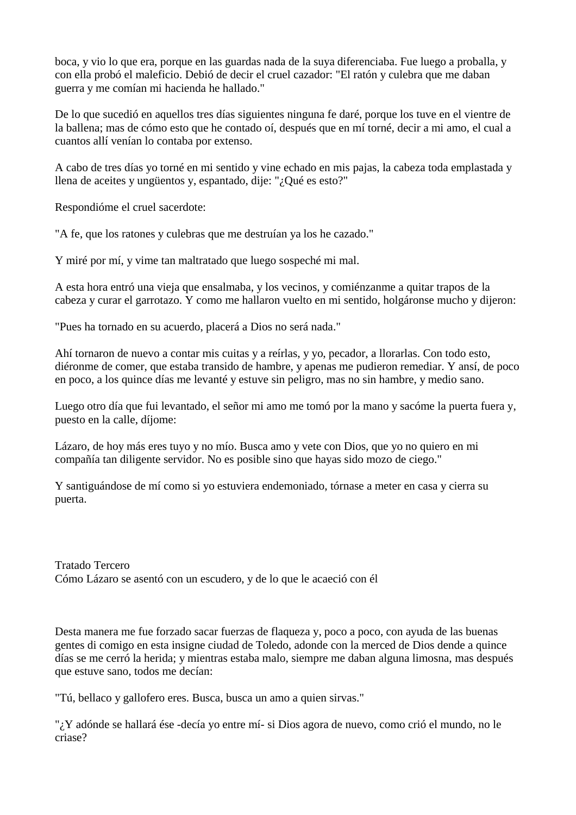boca, y vio lo que era, porque en las guardas nada de la suya diferenciaba. Fue luego a proballa, y con ella probó el maleficio. Debió de decir el cruel cazador: "El ratón y culebra que me daban guerra y me comían mi hacienda he hallado."

De lo que sucedió en aquellos tres días siguientes ninguna fe daré, porque los tuve en el vientre de la ballena; mas de cómo esto que he contado oí, después que en mí torné, decir a mi amo, el cual a cuantos allí venían lo contaba por extenso.

A cabo de tres días yo torné en mi sentido y vine echado en mis pajas, la cabeza toda emplastada y llena de aceites y ungüentos y, espantado, dije: "¿Qué es esto?"

Respondióme el cruel sacerdote:

"A fe, que los ratones y culebras que me destruían ya los he cazado."

Y miré por mí, y vime tan maltratado que luego sospeché mi mal.

A esta hora entró una vieja que ensalmaba, y los vecinos, y comiénzanme a quitar trapos de la cabeza y curar el garrotazo. Y como me hallaron vuelto en mi sentido, holgáronse mucho y dijeron:

"Pues ha tornado en su acuerdo, placerá a Dios no será nada."

Ahí tornaron de nuevo a contar mis cuitas y a reírlas, y yo, pecador, a llorarlas. Con todo esto, diéronme de comer, que estaba transido de hambre, y apenas me pudieron remediar. Y ansí, de poco en poco, a los quince días me levanté y estuve sin peligro, mas no sin hambre, y medio sano.

Luego otro día que fui levantado, el señor mi amo me tomó por la mano y sacóme la puerta fuera y, puesto en la calle, díjome:

Lázaro, de hoy más eres tuyo y no mío. Busca amo y vete con Dios, que yo no quiero en mi compañía tan diligente servidor. No es posible sino que hayas sido mozo de ciego."

Y santiguándose de mí como si yo estuviera endemoniado, tórnase a meter en casa y cierra su puerta.

Tratado Tercero Cómo Lázaro se asentó con un escudero, y de lo que le acaeció con él

Desta manera me fue forzado sacar fuerzas de flaqueza y, poco a poco, con ayuda de las buenas gentes di comigo en esta insigne ciudad de Toledo, adonde con la merced de Dios dende a quince días se me cerró la herida; y mientras estaba malo, siempre me daban alguna limosna, mas después que estuve sano, todos me decían:

"Tú, bellaco y gallofero eres. Busca, busca un amo a quien sirvas."

"¿Y adónde se hallará ése -decía yo entre mí- si Dios agora de nuevo, como crió el mundo, no le criase?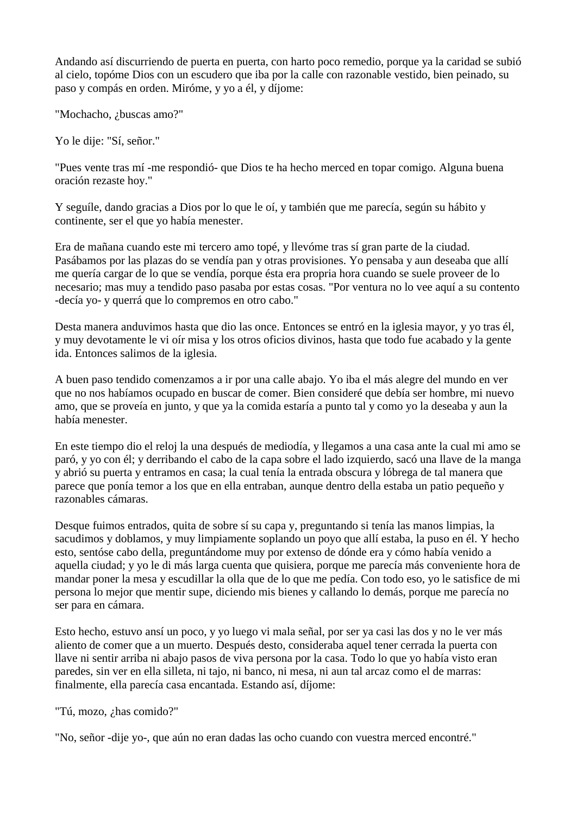Andando así discurriendo de puerta en puerta, con harto poco remedio, porque ya la caridad se subió al cielo, topóme Dios con un escudero que iba por la calle con razonable vestido, bien peinado, su paso y compás en orden. Miróme, y yo a él, y díjome:

"Mochacho, ¿buscas amo?"

Yo le dije: "Sí, señor."

"Pues vente tras mí -me respondió- que Dios te ha hecho merced en topar comigo. Alguna buena oración rezaste hoy."

Y seguíle, dando gracias a Dios por lo que le oí, y también que me parecía, según su hábito y continente, ser el que yo había menester.

Era de mañana cuando este mi tercero amo topé, y llevóme tras sí gran parte de la ciudad. Pasábamos por las plazas do se vendía pan y otras provisiones. Yo pensaba y aun deseaba que allí me quería cargar de lo que se vendía, porque ésta era propria hora cuando se suele proveer de lo necesario; mas muy a tendido paso pasaba por estas cosas. "Por ventura no lo vee aquí a su contento -decía yo- y querrá que lo compremos en otro cabo."

Desta manera anduvimos hasta que dio las once. Entonces se entró en la iglesia mayor, y yo tras él, y muy devotamente le vi oír misa y los otros oficios divinos, hasta que todo fue acabado y la gente ida. Entonces salimos de la iglesia.

A buen paso tendido comenzamos a ir por una calle abajo. Yo iba el más alegre del mundo en ver que no nos habíamos ocupado en buscar de comer. Bien consideré que debía ser hombre, mi nuevo amo, que se proveía en junto, y que ya la comida estaría a punto tal y como yo la deseaba y aun la había menester.

En este tiempo dio el reloj la una después de mediodía, y llegamos a una casa ante la cual mi amo se paró, y yo con él; y derribando el cabo de la capa sobre el lado izquierdo, sacó una llave de la manga y abrió su puerta y entramos en casa; la cual tenía la entrada obscura y lóbrega de tal manera que parece que ponía temor a los que en ella entraban, aunque dentro della estaba un patio pequeño y razonables cámaras.

Desque fuimos entrados, quita de sobre sí su capa y, preguntando si tenía las manos limpias, la sacudimos y doblamos, y muy limpiamente soplando un poyo que allí estaba, la puso en él. Y hecho esto, sentóse cabo della, preguntándome muy por extenso de dónde era y cómo había venido a aquella ciudad; y yo le di más larga cuenta que quisiera, porque me parecía más conveniente hora de mandar poner la mesa y escudillar la olla que de lo que me pedía. Con todo eso, yo le satisfice de mi persona lo mejor que mentir supe, diciendo mis bienes y callando lo demás, porque me parecía no ser para en cámara.

Esto hecho, estuvo ansí un poco, y yo luego vi mala señal, por ser ya casi las dos y no le ver más aliento de comer que a un muerto. Después desto, consideraba aquel tener cerrada la puerta con llave ni sentir arriba ni abajo pasos de viva persona por la casa. Todo lo que yo había visto eran paredes, sin ver en ella silleta, ni tajo, ni banco, ni mesa, ni aun tal arcaz como el de marras: finalmente, ella parecía casa encantada. Estando así, díjome:

"Tú, mozo, ¿has comido?"

"No, señor -dije yo-, que aún no eran dadas las ocho cuando con vuestra merced encontré."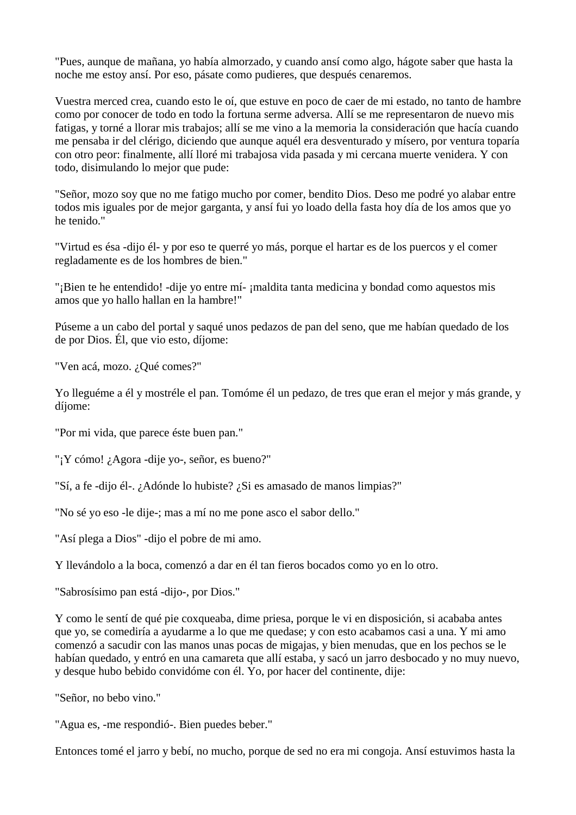"Pues, aunque de mañana, yo había almorzado, y cuando ansí como algo, hágote saber que hasta la noche me estoy ansí. Por eso, pásate como pudieres, que después cenaremos.

Vuestra merced crea, cuando esto le oí, que estuve en poco de caer de mi estado, no tanto de hambre como por conocer de todo en todo la fortuna serme adversa. Allí se me representaron de nuevo mis fatigas, y torné a llorar mis trabajos; allí se me vino a la memoria la consideración que hacía cuando me pensaba ir del clérigo, diciendo que aunque aquél era desventurado y mísero, por ventura toparía con otro peor: finalmente, allí lloré mi trabajosa vida pasada y mi cercana muerte venidera. Y con todo, disimulando lo mejor que pude:

"Señor, mozo soy que no me fatigo mucho por comer, bendito Dios. Deso me podré yo alabar entre todos mis iguales por de mejor garganta, y ansí fui yo loado della fasta hoy día de los amos que yo he tenido."

"Virtud es ésa -dijo él- y por eso te querré yo más, porque el hartar es de los puercos y el comer regladamente es de los hombres de bien."

"¡Bien te he entendido! -dije yo entre mí- ¡maldita tanta medicina y bondad como aquestos mis amos que yo hallo hallan en la hambre!"

Púseme a un cabo del portal y saqué unos pedazos de pan del seno, que me habían quedado de los de por Dios. Él, que vio esto, díjome:

"Ven acá, mozo. ¿Qué comes?"

Yo lleguéme a él y mostréle el pan. Tomóme él un pedazo, de tres que eran el mejor y más grande, y díjome:

"Por mi vida, que parece éste buen pan."

"¡Y cómo! ¿Agora -dije yo-, señor, es bueno?"

"Sí, a fe -dijo él-. ¿Adónde lo hubiste? ¿Si es amasado de manos limpias?"

"No sé yo eso -le dije-; mas a mí no me pone asco el sabor dello."

"Así plega a Dios" -dijo el pobre de mi amo.

Y llevándolo a la boca, comenzó a dar en él tan fieros bocados como yo en lo otro.

"Sabrosísimo pan está -dijo-, por Dios."

Y como le sentí de qué pie coxqueaba, dime priesa, porque le vi en disposición, si acababa antes que yo, se comediría a ayudarme a lo que me quedase; y con esto acabamos casi a una. Y mi amo comenzó a sacudir con las manos unas pocas de migajas, y bien menudas, que en los pechos se le habían quedado, y entró en una camareta que allí estaba, y sacó un jarro desbocado y no muy nuevo, y desque hubo bebido convidóme con él. Yo, por hacer del continente, dije:

"Señor, no bebo vino."

"Agua es, -me respondió-. Bien puedes beber."

Entonces tomé el jarro y bebí, no mucho, porque de sed no era mi congoja. Ansí estuvimos hasta la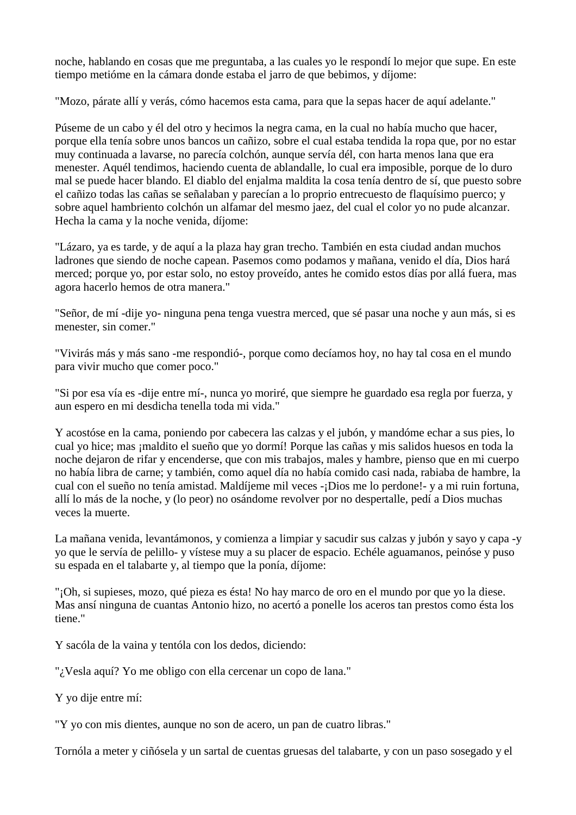noche, hablando en cosas que me preguntaba, a las cuales yo le respondí lo mejor que supe. En este tiempo metióme en la cámara donde estaba el jarro de que bebimos, y díjome:

"Mozo, párate allí y verás, cómo hacemos esta cama, para que la sepas hacer de aquí adelante."

Púseme de un cabo y él del otro y hecimos la negra cama, en la cual no había mucho que hacer, porque ella tenía sobre unos bancos un cañizo, sobre el cual estaba tendida la ropa que, por no estar muy continuada a lavarse, no parecía colchón, aunque servía dél, con harta menos lana que era menester. Aquél tendimos, haciendo cuenta de ablandalle, lo cual era imposible, porque de lo duro mal se puede hacer blando. El diablo del enjalma maldita la cosa tenía dentro de sí, que puesto sobre el cañizo todas las cañas se señalaban y parecían a lo proprio entrecuesto de flaquísimo puerco; y sobre aquel hambriento colchón un alfamar del mesmo jaez, del cual el color yo no pude alcanzar. Hecha la cama y la noche venida, díjome:

"Lázaro, ya es tarde, y de aquí a la plaza hay gran trecho. También en esta ciudad andan muchos ladrones que siendo de noche capean. Pasemos como podamos y mañana, venido el día, Dios hará merced; porque yo, por estar solo, no estoy proveído, antes he comido estos días por allá fuera, mas agora hacerlo hemos de otra manera."

"Señor, de mí -dije yo- ninguna pena tenga vuestra merced, que sé pasar una noche y aun más, si es menester, sin comer."

"Vivirás más y más sano -me respondió-, porque como decíamos hoy, no hay tal cosa en el mundo para vivir mucho que comer poco."

"Si por esa vía es -dije entre mí-, nunca yo moriré, que siempre he guardado esa regla por fuerza, y aun espero en mi desdicha tenella toda mi vida."

Y acostóse en la cama, poniendo por cabecera las calzas y el jubón, y mandóme echar a sus pies, lo cual yo hice; mas ¡maldito el sueño que yo dormí! Porque las cañas y mis salidos huesos en toda la noche dejaron de rifar y encenderse, que con mis trabajos, males y hambre, pienso que en mi cuerpo no había libra de carne; y también, como aquel día no había comido casi nada, rabiaba de hambre, la cual con el sueño no tenía amistad. Maldíjeme mil veces -¡Dios me lo perdone!- y a mi ruin fortuna, allí lo más de la noche, y (lo peor) no osándome revolver por no despertalle, pedí a Dios muchas veces la muerte.

La mañana venida, levantámonos, y comienza a limpiar y sacudir sus calzas y jubón y sayo y capa -y yo que le servía de pelillo- y vístese muy a su placer de espacio. Echéle aguamanos, peinóse y puso su espada en el talabarte y, al tiempo que la ponía, díjome:

"¡Oh, si supieses, mozo, qué pieza es ésta! No hay marco de oro en el mundo por que yo la diese. Mas ansí ninguna de cuantas Antonio hizo, no acertó a ponelle los aceros tan prestos como ésta los tiene."

Y sacóla de la vaina y tentóla con los dedos, diciendo:

"; Vesla aquí? Yo me obligo con ella cercenar un copo de lana."

Y yo dije entre mí:

"Y yo con mis dientes, aunque no son de acero, un pan de cuatro libras."

Tornóla a meter y ciñósela y un sartal de cuentas gruesas del talabarte, y con un paso sosegado y el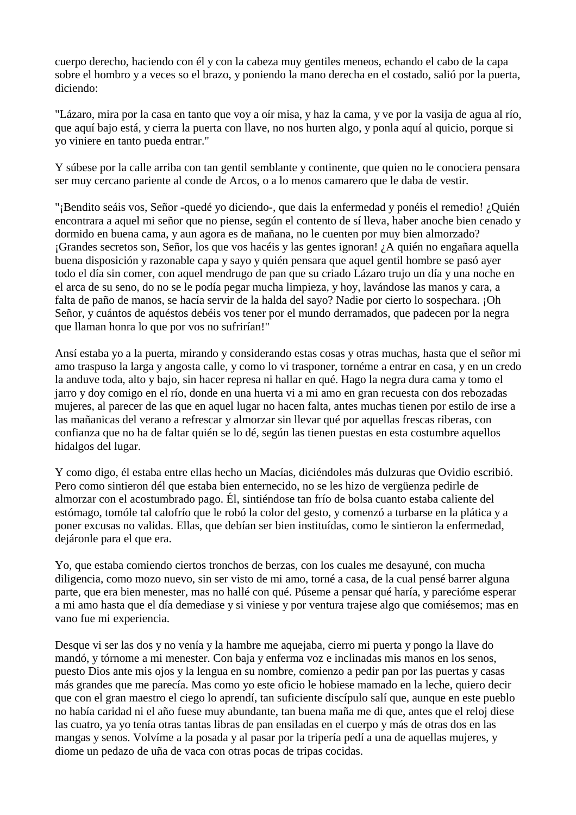cuerpo derecho, haciendo con él y con la cabeza muy gentiles meneos, echando el cabo de la capa sobre el hombro y a veces so el brazo, y poniendo la mano derecha en el costado, salió por la puerta, diciendo:

"Lázaro, mira por la casa en tanto que voy a oír misa, y haz la cama, y ve por la vasija de agua al río, que aquí bajo está, y cierra la puerta con llave, no nos hurten algo, y ponla aquí al quicio, porque si yo viniere en tanto pueda entrar."

Y súbese por la calle arriba con tan gentil semblante y continente, que quien no le conociera pensara ser muy cercano pariente al conde de Arcos, o a lo menos camarero que le daba de vestir.

"¡Bendito seáis vos, Señor -quedé yo diciendo-, que dais la enfermedad y ponéis el remedio! ¿Quién encontrara a aquel mi señor que no piense, según el contento de sí lleva, haber anoche bien cenado y dormido en buena cama, y aun agora es de mañana, no le cuenten por muy bien almorzado? ¡Grandes secretos son, Señor, los que vos hacéis y las gentes ignoran! ¿A quién no engañara aquella buena disposición y razonable capa y sayo y quién pensara que aquel gentil hombre se pasó ayer todo el día sin comer, con aquel mendrugo de pan que su criado Lázaro trujo un día y una noche en el arca de su seno, do no se le podía pegar mucha limpieza, y hoy, lavándose las manos y cara, a falta de paño de manos, se hacía servir de la halda del sayo? Nadie por cierto lo sospechara. ¡Oh Señor, y cuántos de aquéstos debéis vos tener por el mundo derramados, que padecen por la negra que llaman honra lo que por vos no sufrirían!"

Ansí estaba yo a la puerta, mirando y considerando estas cosas y otras muchas, hasta que el señor mi amo traspuso la larga y angosta calle, y como lo vi trasponer, tornéme a entrar en casa, y en un credo la anduve toda, alto y bajo, sin hacer represa ni hallar en qué. Hago la negra dura cama y tomo el jarro y doy comigo en el río, donde en una huerta vi a mi amo en gran recuesta con dos rebozadas mujeres, al parecer de las que en aquel lugar no hacen falta, antes muchas tienen por estilo de irse a las mañanicas del verano a refrescar y almorzar sin llevar qué por aquellas frescas riberas, con confianza que no ha de faltar quién se lo dé, según las tienen puestas en esta costumbre aquellos hidalgos del lugar.

Y como digo, él estaba entre ellas hecho un Macías, diciéndoles más dulzuras que Ovidio escribió. Pero como sintieron dél que estaba bien enternecido, no se les hizo de vergüenza pedirle de almorzar con el acostumbrado pago. Él, sintiéndose tan frío de bolsa cuanto estaba caliente del estómago, tomóle tal calofrío que le robó la color del gesto, y comenzó a turbarse en la plática y a poner excusas no validas. Ellas, que debían ser bien instituídas, como le sintieron la enfermedad, dejáronle para el que era.

Yo, que estaba comiendo ciertos tronchos de berzas, con los cuales me desayuné, con mucha diligencia, como mozo nuevo, sin ser visto de mi amo, torné a casa, de la cual pensé barrer alguna parte, que era bien menester, mas no hallé con qué. Púseme a pensar qué haría, y parecióme esperar a mi amo hasta que el día demediase y si viniese y por ventura trajese algo que comiésemos; mas en vano fue mi experiencia.

Desque vi ser las dos y no venía y la hambre me aquejaba, cierro mi puerta y pongo la llave do mandó, y tórnome a mi menester. Con baja y enferma voz e inclinadas mis manos en los senos, puesto Dios ante mis ojos y la lengua en su nombre, comienzo a pedir pan por las puertas y casas más grandes que me parecía. Mas como yo este oficio le hobiese mamado en la leche, quiero decir que con el gran maestro el ciego lo aprendí, tan suficiente discípulo salí que, aunque en este pueblo no había caridad ni el año fuese muy abundante, tan buena maña me di que, antes que el reloj diese las cuatro, ya yo tenía otras tantas libras de pan ensiladas en el cuerpo y más de otras dos en las mangas y senos. Volvíme a la posada y al pasar por la tripería pedí a una de aquellas mujeres, y diome un pedazo de uña de vaca con otras pocas de tripas cocidas.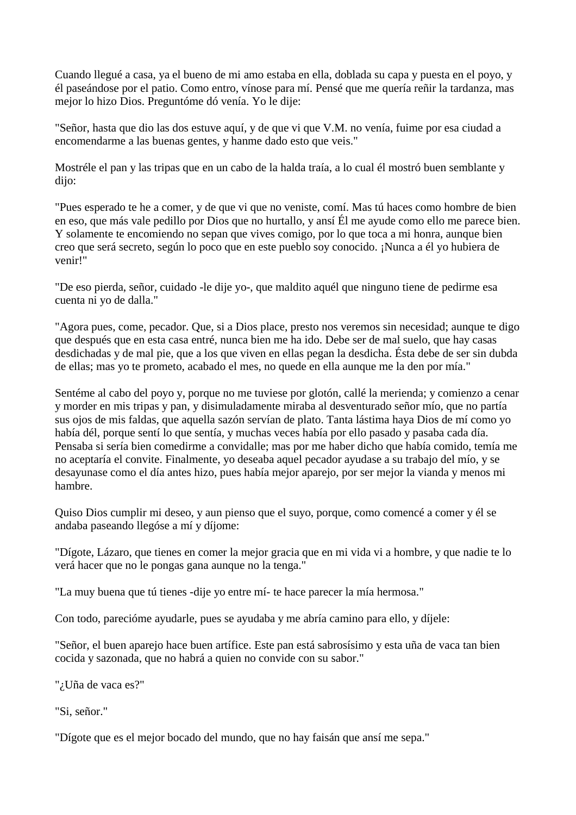Cuando llegué a casa, ya el bueno de mi amo estaba en ella, doblada su capa y puesta en el poyo, y él paseándose por el patio. Como entro, vínose para mí. Pensé que me quería reñir la tardanza, mas mejor lo hizo Dios. Preguntóme dó venía. Yo le dije:

"Señor, hasta que dio las dos estuve aquí, y de que vi que V.M. no venía, fuime por esa ciudad a encomendarme a las buenas gentes, y hanme dado esto que veis."

Mostréle el pan y las tripas que en un cabo de la halda traía, a lo cual él mostró buen semblante y dijo:

"Pues esperado te he a comer, y de que vi que no veniste, comí. Mas tú haces como hombre de bien en eso, que más vale pedillo por Dios que no hurtallo, y ansí Él me ayude como ello me parece bien. Y solamente te encomiendo no sepan que vives comigo, por lo que toca a mi honra, aunque bien creo que será secreto, según lo poco que en este pueblo soy conocido. ¡Nunca a él yo hubiera de venir!"

"De eso pierda, señor, cuidado -le dije yo-, que maldito aquél que ninguno tiene de pedirme esa cuenta ni yo de dalla."

"Agora pues, come, pecador. Que, si a Dios place, presto nos veremos sin necesidad; aunque te digo que después que en esta casa entré, nunca bien me ha ido. Debe ser de mal suelo, que hay casas desdichadas y de mal pie, que a los que viven en ellas pegan la desdicha. Ésta debe de ser sin dubda de ellas; mas yo te prometo, acabado el mes, no quede en ella aunque me la den por mía."

Sentéme al cabo del poyo y, porque no me tuviese por glotón, callé la merienda; y comienzo a cenar y morder en mis tripas y pan, y disimuladamente miraba al desventurado señor mío, que no partía sus ojos de mis faldas, que aquella sazón servían de plato. Tanta lástima haya Dios de mí como yo había dél, porque sentí lo que sentía, y muchas veces había por ello pasado y pasaba cada día. Pensaba si sería bien comedirme a convidalle; mas por me haber dicho que había comido, temía me no aceptaría el convite. Finalmente, yo deseaba aquel pecador ayudase a su trabajo del mío, y se desayunase como el día antes hizo, pues había mejor aparejo, por ser mejor la vianda y menos mi hambre.

Quiso Dios cumplir mi deseo, y aun pienso que el suyo, porque, como comencé a comer y él se andaba paseando llegóse a mí y díjome:

"Dígote, Lázaro, que tienes en comer la mejor gracia que en mi vida vi a hombre, y que nadie te lo verá hacer que no le pongas gana aunque no la tenga."

"La muy buena que tú tienes -dije yo entre mí- te hace parecer la mía hermosa."

Con todo, parecióme ayudarle, pues se ayudaba y me abría camino para ello, y díjele:

"Señor, el buen aparejo hace buen artífice. Este pan está sabrosísimo y esta uña de vaca tan bien cocida y sazonada, que no habrá a quien no convide con su sabor."

"¿Uña de vaca es?"

"Si, señor."

"Dígote que es el mejor bocado del mundo, que no hay faisán que ansí me sepa."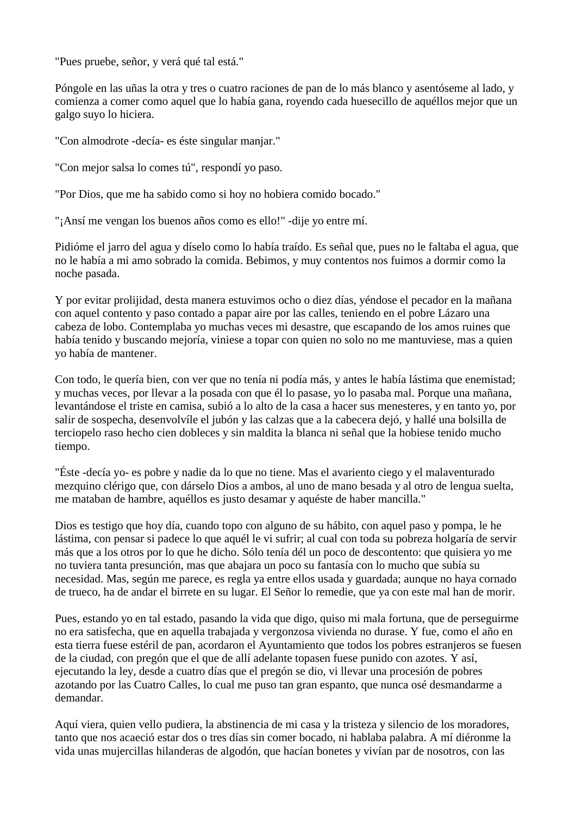"Pues pruebe, señor, y verá qué tal está."

Póngole en las uñas la otra y tres o cuatro raciones de pan de lo más blanco y asentóseme al lado, y comienza a comer como aquel que lo había gana, royendo cada huesecillo de aquéllos mejor que un galgo suyo lo hiciera.

"Con almodrote -decía- es éste singular manjar."

"Con mejor salsa lo comes tú", respondí yo paso.

"Por Dios, que me ha sabido como si hoy no hobiera comido bocado."

"¡Ansí me vengan los buenos años como es ello!" -dije yo entre mí.

Pidióme el jarro del agua y díselo como lo había traído. Es señal que, pues no le faltaba el agua, que no le había a mi amo sobrado la comida. Bebimos, y muy contentos nos fuimos a dormir como la noche pasada.

Y por evitar prolijidad, desta manera estuvimos ocho o diez días, yéndose el pecador en la mañana con aquel contento y paso contado a papar aire por las calles, teniendo en el pobre Lázaro una cabeza de lobo. Contemplaba yo muchas veces mi desastre, que escapando de los amos ruines que había tenido y buscando mejoría, viniese a topar con quien no solo no me mantuviese, mas a quien yo había de mantener.

Con todo, le quería bien, con ver que no tenía ni podía más, y antes le había lástima que enemistad; y muchas veces, por llevar a la posada con que él lo pasase, yo lo pasaba mal. Porque una mañana, levantándose el triste en camisa, subió a lo alto de la casa a hacer sus menesteres, y en tanto yo, por salir de sospecha, desenvolvíle el jubón y las calzas que a la cabecera dejó, y hallé una bolsilla de terciopelo raso hecho cien dobleces y sin maldita la blanca ni señal que la hobiese tenido mucho tiempo.

"Éste -decía yo- es pobre y nadie da lo que no tiene. Mas el avariento ciego y el malaventurado mezquino clérigo que, con dárselo Dios a ambos, al uno de mano besada y al otro de lengua suelta, me mataban de hambre, aquéllos es justo desamar y aquéste de haber mancilla."

Dios es testigo que hoy día, cuando topo con alguno de su hábito, con aquel paso y pompa, le he lástima, con pensar si padece lo que aquél le vi sufrir; al cual con toda su pobreza holgaría de servir más que a los otros por lo que he dicho. Sólo tenía dél un poco de descontento: que quisiera yo me no tuviera tanta presunción, mas que abajara un poco su fantasía con lo mucho que subía su necesidad. Mas, según me parece, es regla ya entre ellos usada y guardada; aunque no haya cornado de trueco, ha de andar el birrete en su lugar. El Señor lo remedie, que ya con este mal han de morir.

Pues, estando yo en tal estado, pasando la vida que digo, quiso mi mala fortuna, que de perseguirme no era satisfecha, que en aquella trabajada y vergonzosa vivienda no durase. Y fue, como el año en esta tierra fuese estéril de pan, acordaron el Ayuntamiento que todos los pobres estranjeros se fuesen de la ciudad, con pregón que el que de allí adelante topasen fuese punido con azotes. Y así, ejecutando la ley, desde a cuatro días que el pregón se dio, vi llevar una procesión de pobres azotando por las Cuatro Calles, lo cual me puso tan gran espanto, que nunca osé desmandarme a demandar.

Aquí viera, quien vello pudiera, la abstinencia de mi casa y la tristeza y silencio de los moradores, tanto que nos acaeció estar dos o tres días sin comer bocado, ni hablaba palabra. A mí diéronme la vida unas mujercillas hilanderas de algodón, que hacían bonetes y vivían par de nosotros, con las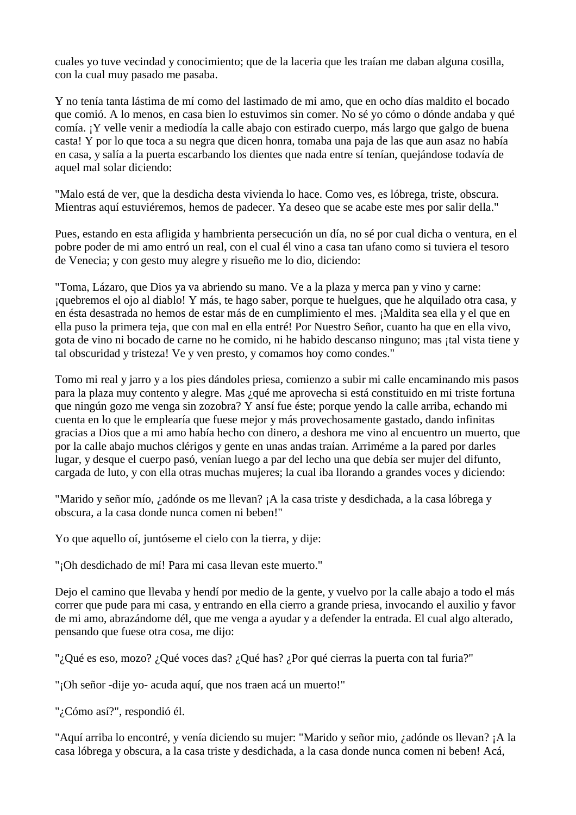cuales yo tuve vecindad y conocimiento; que de la laceria que les traían me daban alguna cosilla, con la cual muy pasado me pasaba.

Y no tenía tanta lástima de mí como del lastimado de mi amo, que en ocho días maldito el bocado que comió. A lo menos, en casa bien lo estuvimos sin comer. No sé yo cómo o dónde andaba y qué comía. ¡Y velle venir a mediodía la calle abajo con estirado cuerpo, más largo que galgo de buena casta! Y por lo que toca a su negra que dicen honra, tomaba una paja de las que aun asaz no había en casa, y salía a la puerta escarbando los dientes que nada entre sí tenían, quejándose todavía de aquel mal solar diciendo:

"Malo está de ver, que la desdicha desta vivienda lo hace. Como ves, es lóbrega, triste, obscura. Mientras aquí estuviéremos, hemos de padecer. Ya deseo que se acabe este mes por salir della."

Pues, estando en esta afligida y hambrienta persecución un día, no sé por cual dicha o ventura, en el pobre poder de mi amo entró un real, con el cual él vino a casa tan ufano como si tuviera el tesoro de Venecia; y con gesto muy alegre y risueño me lo dio, diciendo:

"Toma, Lázaro, que Dios ya va abriendo su mano. Ve a la plaza y merca pan y vino y carne: ¡quebremos el ojo al diablo! Y más, te hago saber, porque te huelgues, que he alquilado otra casa, y en ésta desastrada no hemos de estar más de en cumplimiento el mes. ¡Maldita sea ella y el que en ella puso la primera teja, que con mal en ella entré! Por Nuestro Señor, cuanto ha que en ella vivo, gota de vino ni bocado de carne no he comido, ni he habido descanso ninguno; mas ¡tal vista tiene y tal obscuridad y tristeza! Ve y ven presto, y comamos hoy como condes."

Tomo mi real y jarro y a los pies dándoles priesa, comienzo a subir mi calle encaminando mis pasos para la plaza muy contento y alegre. Mas ¿qué me aprovecha si está constituido en mi triste fortuna que ningún gozo me venga sin zozobra? Y ansí fue éste; porque yendo la calle arriba, echando mi cuenta en lo que le emplearía que fuese mejor y más provechosamente gastado, dando infinitas gracias a Dios que a mi amo había hecho con dinero, a deshora me vino al encuentro un muerto, que por la calle abajo muchos clérigos y gente en unas andas traían. Arriméme a la pared por darles lugar, y desque el cuerpo pasó, venían luego a par del lecho una que debía ser mujer del difunto, cargada de luto, y con ella otras muchas mujeres; la cual iba llorando a grandes voces y diciendo:

"Marido y señor mío, ¿adónde os me llevan? ¡A la casa triste y desdichada, a la casa lóbrega y obscura, a la casa donde nunca comen ni beben!"

Yo que aquello oí, juntóseme el cielo con la tierra, y dije:

"¡Oh desdichado de mí! Para mi casa llevan este muerto."

Dejo el camino que llevaba y hendí por medio de la gente, y vuelvo por la calle abajo a todo el más correr que pude para mi casa, y entrando en ella cierro a grande priesa, invocando el auxilio y favor de mi amo, abrazándome dél, que me venga a ayudar y a defender la entrada. El cual algo alterado, pensando que fuese otra cosa, me dijo:

"¿Qué es eso, mozo? ¿Qué voces das? ¿Qué has? ¿Por qué cierras la puerta con tal furia?"

"¡Oh señor -dije yo- acuda aquí, que nos traen acá un muerto!"

"¿Cómo así?", respondió él.

"Aquí arriba lo encontré, y venía diciendo su mujer: "Marido y señor mio, ¿adónde os llevan? ¡A la casa lóbrega y obscura, a la casa triste y desdichada, a la casa donde nunca comen ni beben! Acá,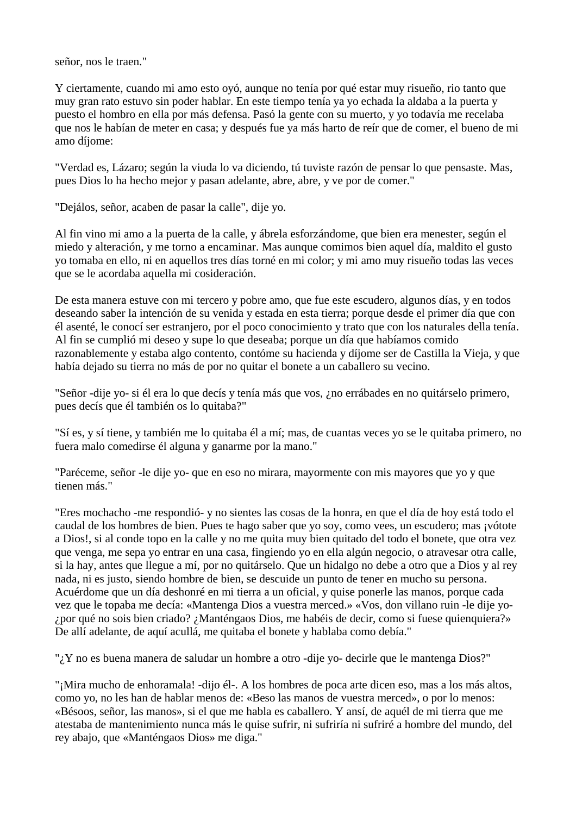señor, nos le traen."

Y ciertamente, cuando mi amo esto oyó, aunque no tenía por qué estar muy risueño, rio tanto que muy gran rato estuvo sin poder hablar. En este tiempo tenía ya yo echada la aldaba a la puerta y puesto el hombro en ella por más defensa. Pasó la gente con su muerto, y yo todavía me recelaba que nos le habían de meter en casa; y después fue ya más harto de reír que de comer, el bueno de mi amo díjome:

"Verdad es, Lázaro; según la viuda lo va diciendo, tú tuviste razón de pensar lo que pensaste. Mas, pues Dios lo ha hecho mejor y pasan adelante, abre, abre, y ve por de comer."

"Dejálos, señor, acaben de pasar la calle", dije yo.

Al fin vino mi amo a la puerta de la calle, y ábrela esforzándome, que bien era menester, según el miedo y alteración, y me torno a encaminar. Mas aunque comimos bien aquel día, maldito el gusto yo tomaba en ello, ni en aquellos tres días torné en mi color; y mi amo muy risueño todas las veces que se le acordaba aquella mi cosideración.

De esta manera estuve con mi tercero y pobre amo, que fue este escudero, algunos días, y en todos deseando saber la intención de su venida y estada en esta tierra; porque desde el primer día que con él asenté, le conocí ser estranjero, por el poco conocimiento y trato que con los naturales della tenía. Al fin se cumplió mi deseo y supe lo que deseaba; porque un día que habíamos comido razonablemente y estaba algo contento, contóme su hacienda y díjome ser de Castilla la Vieja, y que había dejado su tierra no más de por no quitar el bonete a un caballero su vecino.

"Señor -dije yo- si él era lo que decís y tenía más que vos, ¿no errábades en no quitárselo primero, pues decís que él también os lo quitaba?"

"Sí es, y sí tiene, y también me lo quitaba él a mí; mas, de cuantas veces yo se le quitaba primero, no fuera malo comedirse él alguna y ganarme por la mano."

"Paréceme, señor -le dije yo- que en eso no mirara, mayormente con mis mayores que yo y que tienen más."

"Eres mochacho -me respondió- y no sientes las cosas de la honra, en que el día de hoy está todo el caudal de los hombres de bien. Pues te hago saber que yo soy, como vees, un escudero; mas ¡vótote a Dios!, si al conde topo en la calle y no me quita muy bien quitado del todo el bonete, que otra vez que venga, me sepa yo entrar en una casa, fingiendo yo en ella algún negocio, o atravesar otra calle, si la hay, antes que llegue a mí, por no quitárselo. Que un hidalgo no debe a otro que a Dios y al rey nada, ni es justo, siendo hombre de bien, se descuide un punto de tener en mucho su persona. Acuérdome que un día deshonré en mi tierra a un oficial, y quise ponerle las manos, porque cada vez que le topaba me decía: «Mantenga Dios a vuestra merced.» «Vos, don villano ruin -le dije yo- ¿por qué no sois bien criado? ¿Manténgaos Dios, me habéis de decir, como si fuese quienquiera?» De allí adelante, de aquí acullá, me quitaba el bonete y hablaba como debía."

". Y no es buena manera de saludar un hombre a otro -dije yo- decirle que le mantenga Dios?"

"¡Mira mucho de enhoramala! -dijo él-. A los hombres de poca arte dicen eso, mas a los más altos, como yo, no les han de hablar menos de: «Beso las manos de vuestra merced», o por lo menos: «Bésoos, señor, las manos», si el que me habla es caballero. Y ansí, de aquél de mi tierra que me atestaba de mantenimiento nunca más le quise sufrir, ni sufriría ni sufriré a hombre del mundo, del rey abajo, que «Manténgaos Dios» me diga."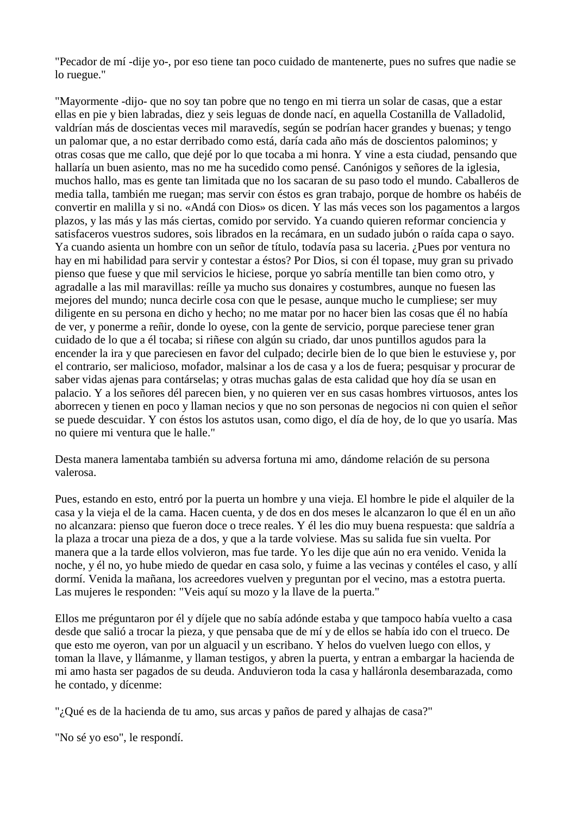"Pecador de mí -dije yo-, por eso tiene tan poco cuidado de mantenerte, pues no sufres que nadie se lo ruegue."

"Mayormente -dijo- que no soy tan pobre que no tengo en mi tierra un solar de casas, que a estar ellas en pie y bien labradas, diez y seis leguas de donde nací, en aquella Costanilla de Valladolid, valdrían más de doscientas veces mil maravedís, según se podrían hacer grandes y buenas; y tengo un palomar que, a no estar derribado como está, daría cada año más de doscientos palominos; y otras cosas que me callo, que dejé por lo que tocaba a mi honra. Y vine a esta ciudad, pensando que hallaría un buen asiento, mas no me ha sucedido como pensé. Canónigos y señores de la iglesia, muchos hallo, mas es gente tan limitada que no los sacaran de su paso todo el mundo. Caballeros de media talla, también me ruegan; mas servir con éstos es gran trabajo, porque de hombre os habéis de convertir en malilla y si no. «Andá con Dios» os dicen. Y las más veces son los pagamentos a largos plazos, y las más y las más ciertas, comido por servido. Ya cuando quieren reformar conciencia y satisfaceros vuestros sudores, sois librados en la recámara, en un sudado jubón o raída capa o sayo. Ya cuando asienta un hombre con un señor de título, todavía pasa su laceria. ¿Pues por ventura no hay en mi habilidad para servir y contestar a éstos? Por Dios, si con él topase, muy gran su privado pienso que fuese y que mil servicios le hiciese, porque yo sabría mentille tan bien como otro, y agradalle a las mil maravillas: reílle ya mucho sus donaires y costumbres, aunque no fuesen las mejores del mundo; nunca decirle cosa con que le pesase, aunque mucho le cumpliese; ser muy diligente en su persona en dicho y hecho; no me matar por no hacer bien las cosas que él no había de ver, y ponerme a reñir, donde lo oyese, con la gente de servicio, porque pareciese tener gran cuidado de lo que a él tocaba; si riñese con algún su criado, dar unos puntillos agudos para la encender la ira y que pareciesen en favor del culpado; decirle bien de lo que bien le estuviese y, por el contrario, ser malicioso, mofador, malsinar a los de casa y a los de fuera; pesquisar y procurar de saber vidas ajenas para contárselas; y otras muchas galas de esta calidad que hoy día se usan en palacio. Y a los señores dél parecen bien, y no quieren ver en sus casas hombres virtuosos, antes los aborrecen y tienen en poco y llaman necios y que no son personas de negocios ni con quien el señor se puede descuidar. Y con éstos los astutos usan, como digo, el día de hoy, de lo que yo usaría. Mas no quiere mi ventura que le halle."

Desta manera lamentaba también su adversa fortuna mi amo, dándome relación de su persona valerosa.

Pues, estando en esto, entró por la puerta un hombre y una vieja. El hombre le pide el alquiler de la casa y la vieja el de la cama. Hacen cuenta, y de dos en dos meses le alcanzaron lo que él en un año no alcanzara: pienso que fueron doce o trece reales. Y él les dio muy buena respuesta: que saldría a la plaza a trocar una pieza de a dos, y que a la tarde volviese. Mas su salida fue sin vuelta. Por manera que a la tarde ellos volvieron, mas fue tarde. Yo les dije que aún no era venido. Venida la noche, y él no, yo hube miedo de quedar en casa solo, y fuime a las vecinas y contéles el caso, y allí dormí. Venida la mañana, los acreedores vuelven y preguntan por el vecino, mas a estotra puerta. Las mujeres le responden: "Veis aquí su mozo y la llave de la puerta."

Ellos me préguntaron por él y díjele que no sabía adónde estaba y que tampoco había vuelto a casa desde que salió a trocar la pieza, y que pensaba que de mí y de ellos se había ido con el trueco. De que esto me oyeron, van por un alguacil y un escribano. Y helos do vuelven luego con ellos, y toman la llave, y llámanme, y llaman testigos, y abren la puerta, y entran a embargar la hacienda de mi amo hasta ser pagados de su deuda. Anduvieron toda la casa y halláronla desembarazada, como he contado, y dícenme:

"¿Qué es de la hacienda de tu amo, sus arcas y paños de pared y alhajas de casa?"

"No sé yo eso", le respondí.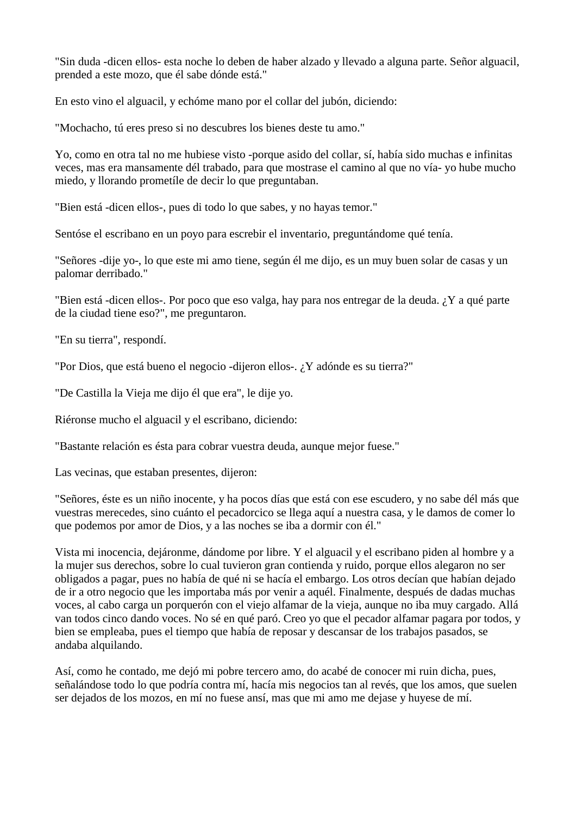"Sin duda -dicen ellos- esta noche lo deben de haber alzado y llevado a alguna parte. Señor alguacil, prended a este mozo, que él sabe dónde está."

En esto vino el alguacil, y echóme mano por el collar del jubón, diciendo:

"Mochacho, tú eres preso si no descubres los bienes deste tu amo."

Yo, como en otra tal no me hubiese visto -porque asido del collar, sí, había sido muchas e infinitas veces, mas era mansamente dél trabado, para que mostrase el camino al que no vía- yo hube mucho miedo, y llorando prometíle de decir lo que preguntaban.

"Bien está -dicen ellos-, pues di todo lo que sabes, y no hayas temor."

Sentóse el escribano en un poyo para escrebir el inventario, preguntándome qué tenía.

"Señores -dije yo-, lo que este mi amo tiene, según él me dijo, es un muy buen solar de casas y un palomar derribado."

"Bien está -dicen ellos-. Por poco que eso valga, hay para nos entregar de la deuda. ¿Y a qué parte de la ciudad tiene eso?", me preguntaron.

"En su tierra", respondí.

"Por Dios, que está bueno el negocio -dijeron ellos-. ¿Y adónde es su tierra?"

"De Castilla la Vieja me dijo él que era", le dije yo.

Riéronse mucho el alguacil y el escribano, diciendo:

"Bastante relación es ésta para cobrar vuestra deuda, aunque mejor fuese."

Las vecinas, que estaban presentes, dijeron:

"Señores, éste es un niño inocente, y ha pocos días que está con ese escudero, y no sabe dél más que vuestras merecedes, sino cuánto el pecadorcico se llega aquí a nuestra casa, y le damos de comer lo que podemos por amor de Dios, y a las noches se iba a dormir con él."

Vista mi inocencia, dejáronme, dándome por libre. Y el alguacil y el escribano piden al hombre y a la mujer sus derechos, sobre lo cual tuvieron gran contienda y ruido, porque ellos alegaron no ser obligados a pagar, pues no había de qué ni se hacía el embargo. Los otros decían que habían dejado de ir a otro negocio que les importaba más por venir a aquél. Finalmente, después de dadas muchas voces, al cabo carga un porquerón con el viejo alfamar de la vieja, aunque no iba muy cargado. Allá van todos cinco dando voces. No sé en qué paró. Creo yo que el pecador alfamar pagara por todos, y bien se empleaba, pues el tiempo que había de reposar y descansar de los trabajos pasados, se andaba alquilando.

Así, como he contado, me dejó mi pobre tercero amo, do acabé de conocer mi ruin dicha, pues, señalándose todo lo que podría contra mí, hacía mis negocios tan al revés, que los amos, que suelen ser dejados de los mozos, en mí no fuese ansí, mas que mi amo me dejase y huyese de mí.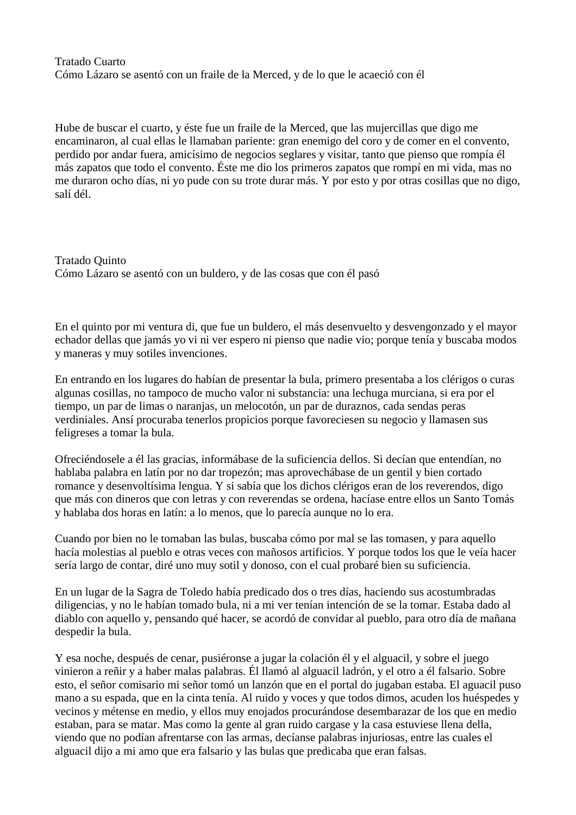# Tratado Cuarto Cómo Lázaro se asentó con un fraile de la Merced, y de lo que le acaeció con él

Hube de buscar el cuarto, y éste fue un fraile de la Merced, que las mujercillas que digo me encaminaron, al cual ellas le llamaban pariente: gran enemigo del coro y de comer en el convento, perdido por andar fuera, amicísimo de negocios seglares y visitar, tanto que pienso que rompía él más zapatos que todo el convento. Éste me dio los primeros zapatos que rompí en mi vida, mas no me duraron ocho días, ni yo pude con su trote durar más. Y por esto y por otras cosillas que no digo, salí dél.

Tratado Quinto Cómo Lázaro se asentó con un buldero, y de las cosas que con él pasó

En el quinto por mi ventura di, que fue un buldero, el más desenvuelto y desvengonzado y el mayor echador dellas que jamás yo vi ni ver espero ni pienso que nadie vio; porque tenía y buscaba modos y maneras y muy sotiles invenciones.

En entrando en los lugares do habían de presentar la bula, primero presentaba a los clérigos o curas algunas cosillas, no tampoco de mucho valor ni substancia: una lechuga murciana, si era por el tiempo, un par de limas o naranjas, un melocotón, un par de duraznos, cada sendas peras verdiniales. Ansí procuraba tenerlos propicios porque favoreciesen su negocio y llamasen sus feligreses a tomar la bula.

Ofreciéndosele a él las gracias, informábase de la suficiencia dellos. Si decían que entendían, no hablaba palabra en latín por no dar tropezón; mas aprovechábase de un gentil y bien cortado romance y desenvoltísima lengua. Y si sabía que los dichos clérigos eran de los reverendos, digo que más con dineros que con letras y con reverendas se ordena, hacíase entre ellos un Santo Tomás y hablaba dos horas en latín: a lo menos, que lo parecía aunque no lo era.

Cuando por bien no le tomaban las bulas, buscaba cómo por mal se las tomasen, y para aquello hacía molestias al pueblo e otras veces con mañosos artificios. Y porque todos los que le veía hacer sería largo de contar, diré uno muy sotil y donoso, con el cual probaré bien su suficiencia.

En un lugar de la Sagra de Toledo había predicado dos o tres días, haciendo sus acostumbradas diligencias, y no le habían tomado bula, ni a mi ver tenían intención de se la tomar. Estaba dado al diablo con aquello y, pensando qué hacer, se acordó de convidar al pueblo, para otro día de mañana despedir la bula.

Y esa noche, después de cenar, pusiéronse a jugar la colación él y el alguacil, y sobre el juego vinieron a reñir y a haber malas palabras. Él llamó al alguacil ladrón, y el otro a él falsario. Sobre esto, el señor comisario mi señor tomó un lanzón que en el portal do jugaban estaba. El aguacil puso mano a su espada, que en la cinta tenía. Al ruido y voces y que todos dimos, acuden los huéspedes y vecinos y métense en medio, y ellos muy enojados procurándose desembarazar de los que en medio estaban, para se matar. Mas como la gente al gran ruido cargase y la casa estuviese llena della, viendo que no podían afrentarse con las armas, decíanse palabras injuriosas, entre las cuales el alguacil dijo a mi amo que era falsario y las bulas que predicaba que eran falsas.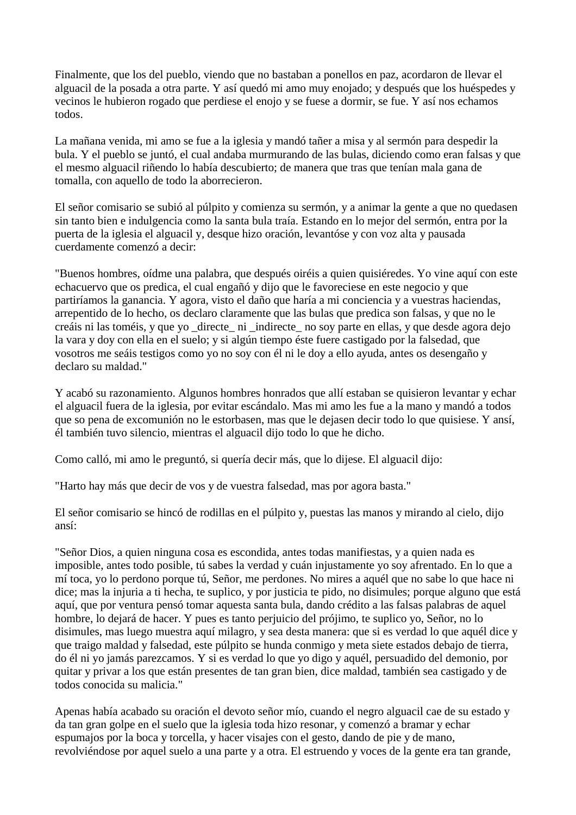Finalmente, que los del pueblo, viendo que no bastaban a ponellos en paz, acordaron de llevar el alguacil de la posada a otra parte. Y así quedó mi amo muy enojado; y después que los huéspedes y vecinos le hubieron rogado que perdiese el enojo y se fuese a dormir, se fue. Y así nos echamos todos.

La mañana venida, mi amo se fue a la iglesia y mandó tañer a misa y al sermón para despedir la bula. Y el pueblo se juntó, el cual andaba murmurando de las bulas, diciendo como eran falsas y que el mesmo alguacil riñendo lo había descubierto; de manera que tras que tenían mala gana de tomalla, con aquello de todo la aborrecieron.

El señor comisario se subió al púlpito y comienza su sermón, y a animar la gente a que no quedasen sin tanto bien e indulgencia como la santa bula traía. Estando en lo mejor del sermón, entra por la puerta de la iglesia el alguacil y, desque hizo oración, levantóse y con voz alta y pausada cuerdamente comenzó a decir:

"Buenos hombres, oídme una palabra, que después oiréis a quien quisiéredes. Yo vine aquí con este echacuervo que os predica, el cual engañó y dijo que le favoreciese en este negocio y que partiríamos la ganancia. Y agora, visto el daño que haría a mi conciencia y a vuestras haciendas, arrepentido de lo hecho, os declaro claramente que las bulas que predica son falsas, y que no le creáis ni las toméis, y que yo \_directe\_ ni \_indirecte\_ no soy parte en ellas, y que desde agora dejo la vara y doy con ella en el suelo; y si algún tiempo éste fuere castigado por la falsedad, que vosotros me seáis testigos como yo no soy con él ni le doy a ello ayuda, antes os desengaño y declaro su maldad."

Y acabó su razonamiento. Algunos hombres honrados que allí estaban se quisieron levantar y echar el alguacil fuera de la iglesia, por evitar escándalo. Mas mi amo les fue a la mano y mandó a todos que so pena de excomunión no le estorbasen, mas que le dejasen decir todo lo que quisiese. Y ansí, él también tuvo silencio, mientras el alguacil dijo todo lo que he dicho.

Como calló, mi amo le preguntó, si quería decir más, que lo dijese. El alguacil dijo:

"Harto hay más que decir de vos y de vuestra falsedad, mas por agora basta."

El señor comisario se hincó de rodillas en el púlpito y, puestas las manos y mirando al cielo, dijo ansí:

"Señor Dios, a quien ninguna cosa es escondida, antes todas manifiestas, y a quien nada es imposible, antes todo posible, tú sabes la verdad y cuán injustamente yo soy afrentado. En lo que a mí toca, yo lo perdono porque tú, Señor, me perdones. No mires a aquél que no sabe lo que hace ni dice; mas la injuria a ti hecha, te suplico, y por justicia te pido, no disimules; porque alguno que está aquí, que por ventura pensó tomar aquesta santa bula, dando crédito a las falsas palabras de aquel hombre, lo dejará de hacer. Y pues es tanto perjuicio del prójimo, te suplico yo, Señor, no lo disimules, mas luego muestra aquí milagro, y sea desta manera: que si es verdad lo que aquél dice y que traigo maldad y falsedad, este púlpito se hunda conmigo y meta siete estados debajo de tierra, do él ni yo jamás parezcamos. Y si es verdad lo que yo digo y aquél, persuadido del demonio, por quitar y privar a los que están presentes de tan gran bien, dice maldad, también sea castigado y de todos conocida su malicia."

Apenas había acabado su oración el devoto señor mío, cuando el negro alguacil cae de su estado y da tan gran golpe en el suelo que la iglesia toda hizo resonar, y comenzó a bramar y echar espumajos por la boca y torcella, y hacer visajes con el gesto, dando de pie y de mano, revolviéndose por aquel suelo a una parte y a otra. El estruendo y voces de la gente era tan grande,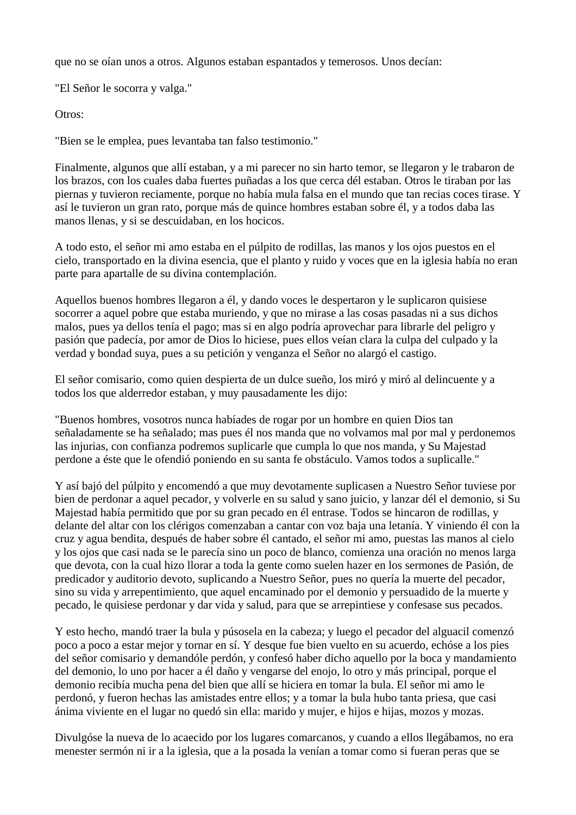que no se oían unos a otros. Algunos estaban espantados y temerosos. Unos decían:

"El Señor le socorra y valga."

Otros:

"Bien se le emplea, pues levantaba tan falso testimonio."

Finalmente, algunos que allí estaban, y a mi parecer no sin harto temor, se llegaron y le trabaron de los brazos, con los cuales daba fuertes puñadas a los que cerca dél estaban. Otros le tiraban por las piernas y tuvieron reciamente, porque no había mula falsa en el mundo que tan recias coces tirase. Y así le tuvieron un gran rato, porque más de quince hombres estaban sobre él, y a todos daba las manos llenas, y si se descuidaban, en los hocicos.

A todo esto, el señor mi amo estaba en el púlpito de rodillas, las manos y los ojos puestos en el cielo, transportado en la divina esencia, que el planto y ruido y voces que en la iglesia había no eran parte para apartalle de su divina contemplación.

Aquellos buenos hombres llegaron a él, y dando voces le despertaron y le suplicaron quisiese socorrer a aquel pobre que estaba muriendo, y que no mirase a las cosas pasadas ni a sus dichos malos, pues ya dellos tenía el pago; mas si en algo podría aprovechar para librarle del peligro y pasión que padecía, por amor de Dios lo hiciese, pues ellos veían clara la culpa del culpado y la verdad y bondad suya, pues a su petición y venganza el Señor no alargó el castigo.

El señor comisario, como quien despierta de un dulce sueño, los miró y miró al delincuente y a todos los que alderredor estaban, y muy pausadamente les dijo:

"Buenos hombres, vosotros nunca habíades de rogar por un hombre en quien Dios tan señaladamente se ha señalado; mas pues él nos manda que no volvamos mal por mal y perdonemos las injurias, con confianza podremos suplicarle que cumpla lo que nos manda, y Su Majestad perdone a éste que le ofendió poniendo en su santa fe obstáculo. Vamos todos a suplicalle."

Y así bajó del púlpito y encomendó a que muy devotamente suplicasen a Nuestro Señor tuviese por bien de perdonar a aquel pecador, y volverle en su salud y sano juicio, y lanzar dél el demonio, si Su Majestad había permitido que por su gran pecado en él entrase. Todos se hincaron de rodillas, y delante del altar con los clérigos comenzaban a cantar con voz baja una letanía. Y viniendo él con la cruz y agua bendita, después de haber sobre él cantado, el señor mi amo, puestas las manos al cielo y los ojos que casi nada se le parecía sino un poco de blanco, comienza una oración no menos larga que devota, con la cual hizo llorar a toda la gente como suelen hazer en los sermones de Pasión, de predicador y auditorio devoto, suplicando a Nuestro Señor, pues no quería la muerte del pecador, sino su vida y arrepentimiento, que aquel encaminado por el demonio y persuadido de la muerte y pecado, le quisiese perdonar y dar vida y salud, para que se arrepintiese y confesase sus pecados.

Y esto hecho, mandó traer la bula y púsosela en la cabeza; y luego el pecador del alguacil comenzó poco a poco a estar mejor y tornar en sí. Y desque fue bien vuelto en su acuerdo, echóse a los pies del señor comisario y demandóle perdón, y confesó haber dicho aquello por la boca y mandamiento del demonio, lo uno por hacer a él daño y vengarse del enojo, lo otro y más principal, porque el demonio recibía mucha pena del bien que allí se hiciera en tomar la bula. El señor mi amo le perdonó, y fueron hechas las amistades entre ellos; y a tomar la bula hubo tanta priesa, que casi ánima viviente en el lugar no quedó sin ella: marido y mujer, e hijos e hijas, mozos y mozas.

Divulgóse la nueva de lo acaecido por los lugares comarcanos, y cuando a ellos llegábamos, no era menester sermón ni ir a la iglesia, que a la posada la venían a tomar como si fueran peras que se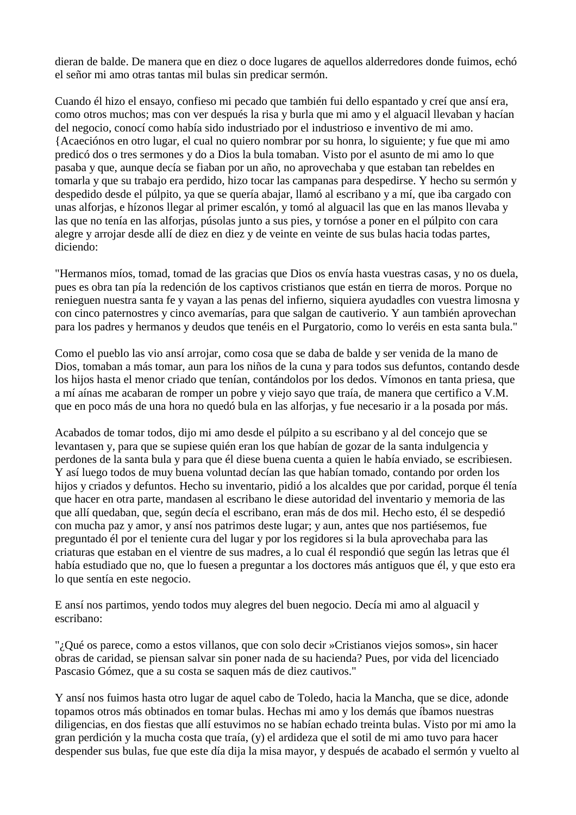dieran de balde. De manera que en diez o doce lugares de aquellos alderredores donde fuimos, echó el señor mi amo otras tantas mil bulas sin predicar sermón.

Cuando él hizo el ensayo, confieso mi pecado que también fui dello espantado y creí que ansí era, como otros muchos; mas con ver después la risa y burla que mi amo y el alguacil llevaban y hacían del negocio, conocí como había sido industriado por el industrioso e inventivo de mi amo. {Acaeciónos en otro lugar, el cual no quiero nombrar por su honra, lo siguiente; y fue que mi amo predicó dos o tres sermones y do a Dios la bula tomaban. Visto por el asunto de mi amo lo que pasaba y que, aunque decía se fiaban por un año, no aprovechaba y que estaban tan rebeldes en tomarla y que su trabajo era perdido, hizo tocar las campanas para despedirse. Y hecho su sermón y despedido desde el púlpito, ya que se quería abajar, llamó al escribano y a mí, que iba cargado con unas alforjas, e hízonos llegar al primer escalón, y tomó al alguacil las que en las manos llevaba y las que no tenía en las alforjas, púsolas junto a sus pies, y tornóse a poner en el púlpito con cara alegre y arrojar desde allí de diez en diez y de veinte en veinte de sus bulas hacia todas partes, diciendo:

"Hermanos míos, tomad, tomad de las gracias que Dios os envía hasta vuestras casas, y no os duela, pues es obra tan pía la redención de los captivos cristianos que están en tierra de moros. Porque no renieguen nuestra santa fe y vayan a las penas del infierno, siquiera ayudadles con vuestra limosna y con cinco paternostres y cinco avemarías, para que salgan de cautiverio. Y aun también aprovechan para los padres y hermanos y deudos que tenéis en el Purgatorio, como lo veréis en esta santa bula."

Como el pueblo las vio ansí arrojar, como cosa que se daba de balde y ser venida de la mano de Dios, tomaban a más tomar, aun para los niños de la cuna y para todos sus defuntos, contando desde los hijos hasta el menor criado que tenían, contándolos por los dedos. Vímonos en tanta priesa, que a mí aínas me acabaran de romper un pobre y viejo sayo que traía, de manera que certifico a V.M. que en poco más de una hora no quedó bula en las alforjas, y fue necesario ir a la posada por más.

Acabados de tomar todos, dijo mi amo desde el púlpito a su escribano y al del concejo que se levantasen y, para que se supiese quién eran los que habían de gozar de la santa indulgencia y perdones de la santa bula y para que él diese buena cuenta a quien le había enviado, se escribiesen. Y así luego todos de muy buena voluntad decían las que habían tomado, contando por orden los hijos y criados y defuntos. Hecho su inventario, pidió a los alcaldes que por caridad, porque él tenía que hacer en otra parte, mandasen al escribano le diese autoridad del inventario y memoria de las que allí quedaban, que, según decía el escribano, eran más de dos mil. Hecho esto, él se despedió con mucha paz y amor, y ansí nos patrimos deste lugar; y aun, antes que nos partiésemos, fue preguntado él por el teniente cura del lugar y por los regidores si la bula aprovechaba para las criaturas que estaban en el vientre de sus madres, a lo cual él respondió que según las letras que él había estudiado que no, que lo fuesen a preguntar a los doctores más antiguos que él, y que esto era lo que sentía en este negocio.

E ansí nos partimos, yendo todos muy alegres del buen negocio. Decía mi amo al alguacil y escribano:

"¿Qué os parece, como a estos villanos, que con solo decir »Cristianos viejos somos», sin hacer obras de caridad, se piensan salvar sin poner nada de su hacienda? Pues, por vida del licenciado Pascasio Gómez, que a su costa se saquen más de diez cautivos."

Y ansí nos fuimos hasta otro lugar de aquel cabo de Toledo, hacia la Mancha, que se dice, adonde topamos otros más obtinados en tomar bulas. Hechas mi amo y los demás que íbamos nuestras diligencias, en dos fiestas que allí estuvimos no se habían echado treinta bulas. Visto por mi amo la gran perdición y la mucha costa que traía, (y) el ardideza que el sotil de mi amo tuvo para hacer despender sus bulas, fue que este día dija la misa mayor, y después de acabado el sermón y vuelto al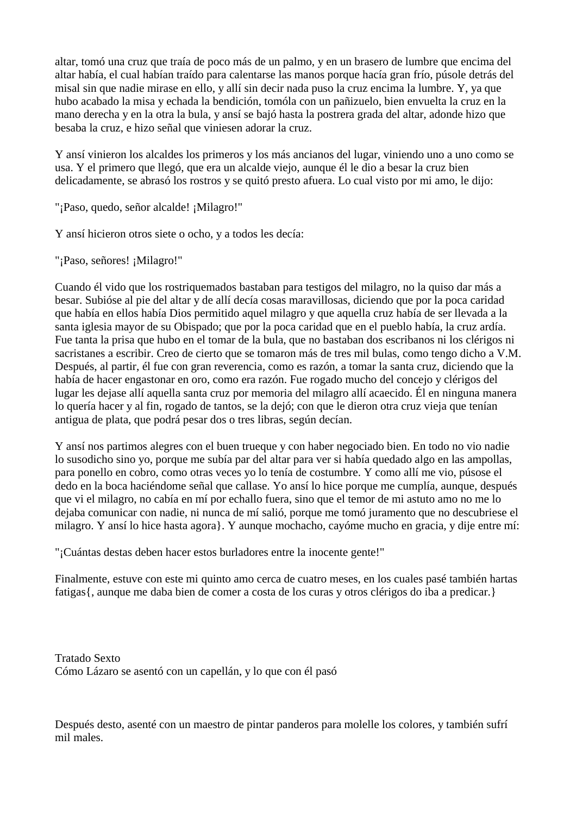altar, tomó una cruz que traía de poco más de un palmo, y en un brasero de lumbre que encima del altar había, el cual habían traído para calentarse las manos porque hacía gran frío, púsole detrás del misal sin que nadie mirase en ello, y allí sin decir nada puso la cruz encima la lumbre. Y, ya que hubo acabado la misa y echada la bendición, tomóla con un pañizuelo, bien envuelta la cruz en la mano derecha y en la otra la bula, y ansí se bajó hasta la postrera grada del altar, adonde hizo que besaba la cruz, e hizo señal que viniesen adorar la cruz.

Y ansí vinieron los alcaldes los primeros y los más ancianos del lugar, viniendo uno a uno como se usa. Y el primero que llegó, que era un alcalde viejo, aunque él le dio a besar la cruz bien delicadamente, se abrasó los rostros y se quitó presto afuera. Lo cual visto por mi amo, le dijo:

"¡Paso, quedo, señor alcalde! ¡Milagro!"

Y ansí hicieron otros siete o ocho, y a todos les decía:

"¡Paso, señores! ¡Milagro!"

Cuando él vido que los rostriquemados bastaban para testigos del milagro, no la quiso dar más a besar. Subióse al pie del altar y de allí decía cosas maravillosas, diciendo que por la poca caridad que había en ellos había Dios permitido aquel milagro y que aquella cruz había de ser llevada a la santa iglesia mayor de su Obispado; que por la poca caridad que en el pueblo había, la cruz ardía. Fue tanta la prisa que hubo en el tomar de la bula, que no bastaban dos escribanos ni los clérigos ni sacristanes a escribir. Creo de cierto que se tomaron más de tres mil bulas, como tengo dicho a V.M. Después, al partir, él fue con gran reverencia, como es razón, a tomar la santa cruz, diciendo que la había de hacer engastonar en oro, como era razón. Fue rogado mucho del concejo y clérigos del lugar les dejase allí aquella santa cruz por memoria del milagro allí acaecido. Él en ninguna manera lo quería hacer y al fin, rogado de tantos, se la dejó; con que le dieron otra cruz vieja que tenían antigua de plata, que podrá pesar dos o tres libras, según decían.

Y ansí nos partimos alegres con el buen trueque y con haber negociado bien. En todo no vio nadie lo susodicho sino yo, porque me subía par del altar para ver si había quedado algo en las ampollas, para ponello en cobro, como otras veces yo lo tenía de costumbre. Y como allí me vio, púsose el dedo en la boca haciéndome señal que callase. Yo ansí lo hice porque me cumplía, aunque, después que vi el milagro, no cabía en mí por echallo fuera, sino que el temor de mi astuto amo no me lo dejaba comunicar con nadie, ni nunca de mí salió, porque me tomó juramento que no descubriese el milagro. Y ansí lo hice hasta agora}. Y aunque mochacho, cayóme mucho en gracia, y dije entre mí:

"¡Cuántas destas deben hacer estos burladores entre la inocente gente!"

Finalmente, estuve con este mi quinto amo cerca de cuatro meses, en los cuales pasé también hartas fatigas{, aunque me daba bien de comer a costa de los curas y otros clérigos do iba a predicar.}

Tratado Sexto Cómo Lázaro se asentó con un capellán, y lo que con él pasó

Después desto, asenté con un maestro de pintar panderos para molelle los colores, y también sufrí mil males.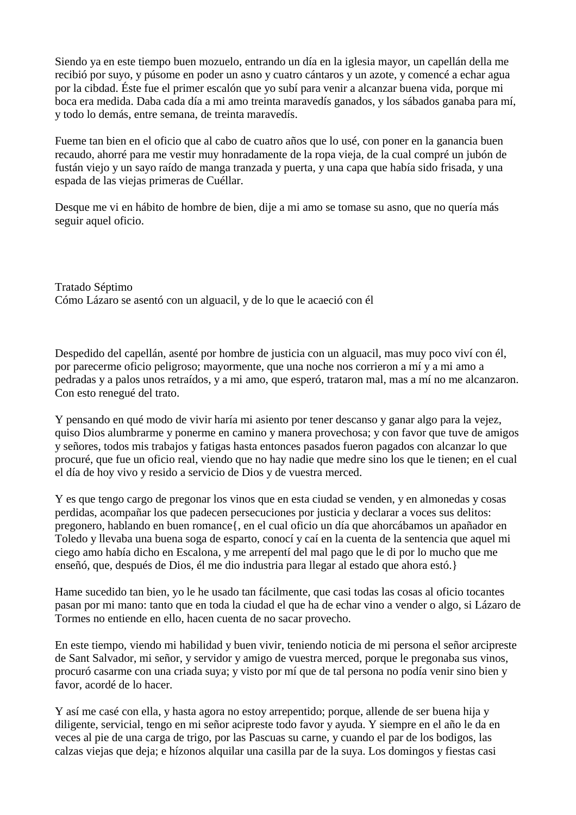Siendo ya en este tiempo buen mozuelo, entrando un día en la iglesia mayor, un capellán della me recibió por suyo, y púsome en poder un asno y cuatro cántaros y un azote, y comencé a echar agua por la cibdad. Éste fue el primer escalón que yo subí para venir a alcanzar buena vida, porque mi boca era medida. Daba cada día a mi amo treinta maravedís ganados, y los sábados ganaba para mí, y todo lo demás, entre semana, de treinta maravedís.

Fueme tan bien en el oficio que al cabo de cuatro años que lo usé, con poner en la ganancia buen recaudo, ahorré para me vestir muy honradamente de la ropa vieja, de la cual compré un jubón de fustán viejo y un sayo raído de manga tranzada y puerta, y una capa que había sido frisada, y una espada de las viejas primeras de Cuéllar.

Desque me vi en hábito de hombre de bien, dije a mi amo se tomase su asno, que no quería más seguir aquel oficio.

Tratado Séptimo Cómo Lázaro se asentó con un alguacil, y de lo que le acaeció con él

Despedido del capellán, asenté por hombre de justicia con un alguacil, mas muy poco viví con él, por parecerme oficio peligroso; mayormente, que una noche nos corrieron a mí y a mi amo a pedradas y a palos unos retraídos, y a mi amo, que esperó, trataron mal, mas a mí no me alcanzaron. Con esto renegué del trato.

Y pensando en qué modo de vivir haría mi asiento por tener descanso y ganar algo para la vejez, quiso Dios alumbrarme y ponerme en camino y manera provechosa; y con favor que tuve de amigos y señores, todos mis trabajos y fatigas hasta entonces pasados fueron pagados con alcanzar lo que procuré, que fue un oficio real, viendo que no hay nadie que medre sino los que le tienen; en el cual el día de hoy vivo y resido a servicio de Dios y de vuestra merced.

Y es que tengo cargo de pregonar los vinos que en esta ciudad se venden, y en almonedas y cosas perdidas, acompañar los que padecen persecuciones por justicia y declarar a voces sus delitos: pregonero, hablando en buen romance{, en el cual oficio un día que ahorcábamos un apañador en Toledo y llevaba una buena soga de esparto, conocí y caí en la cuenta de la sentencia que aquel mi ciego amo había dicho en Escalona, y me arrepentí del mal pago que le di por lo mucho que me enseñó, que, después de Dios, él me dio industria para llegar al estado que ahora estó.}

Hame sucedido tan bien, yo le he usado tan fácilmente, que casi todas las cosas al oficio tocantes pasan por mi mano: tanto que en toda la ciudad el que ha de echar vino a vender o algo, si Lázaro de Tormes no entiende en ello, hacen cuenta de no sacar provecho.

En este tiempo, viendo mi habilidad y buen vivir, teniendo noticia de mi persona el señor arcipreste de Sant Salvador, mi señor, y servidor y amigo de vuestra merced, porque le pregonaba sus vinos, procuró casarme con una criada suya; y visto por mí que de tal persona no podía venir sino bien y favor, acordé de lo hacer.

Y así me casé con ella, y hasta agora no estoy arrepentido; porque, allende de ser buena hija y diligente, servicial, tengo en mi señor acipreste todo favor y ayuda. Y siempre en el año le da en veces al pie de una carga de trigo, por las Pascuas su carne, y cuando el par de los bodigos, las calzas viejas que deja; e hízonos alquilar una casilla par de la suya. Los domingos y fiestas casi